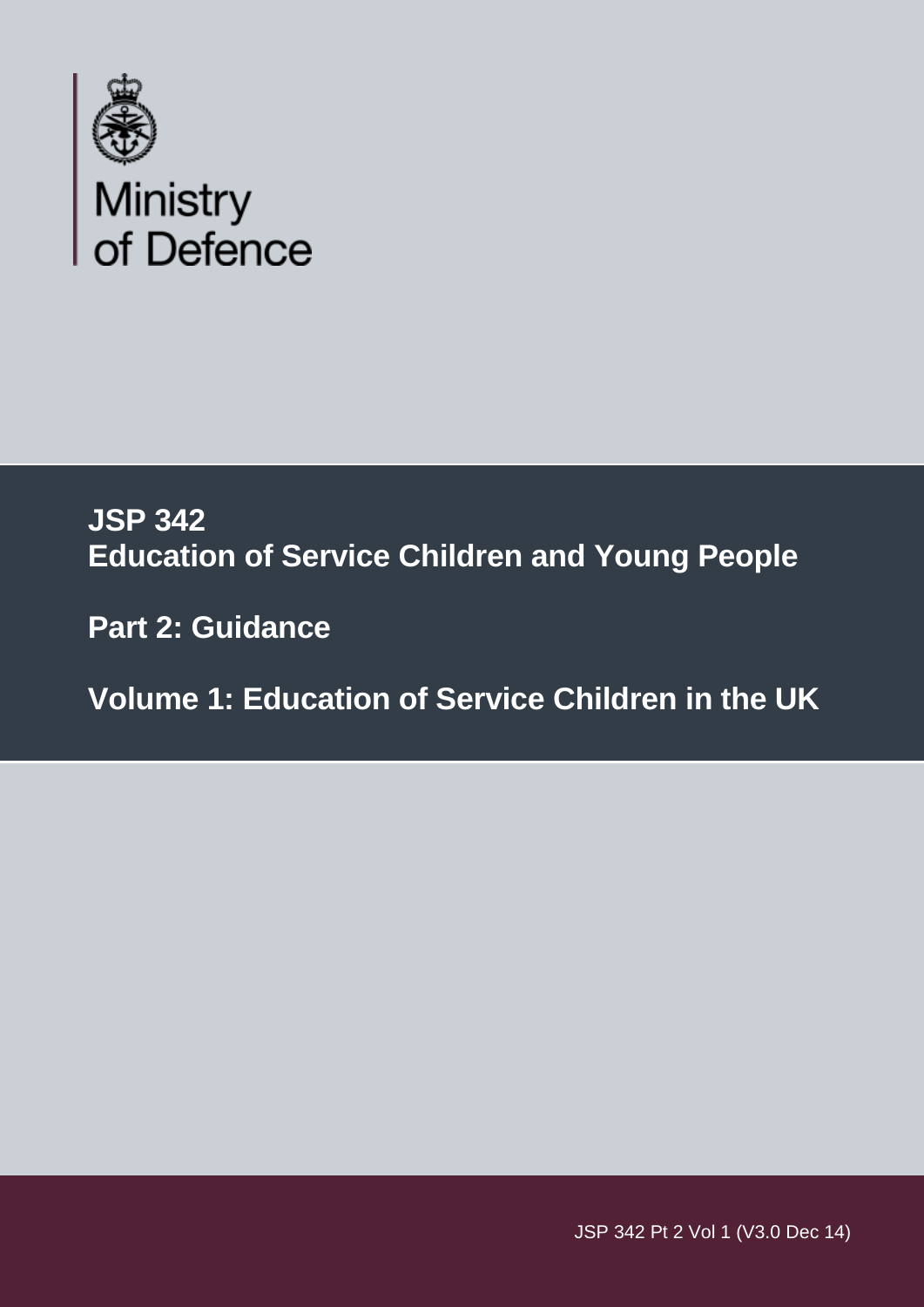

# **JSP 342 Education of Service Children and Young People**

 **Part 2: Guidance** 

 **Volume 1: Education of Service Children in the UK** 

 $JSP = 342 P + 21$ JSP 342 Pt 2 Vol 1 (V3.0 Dec 14)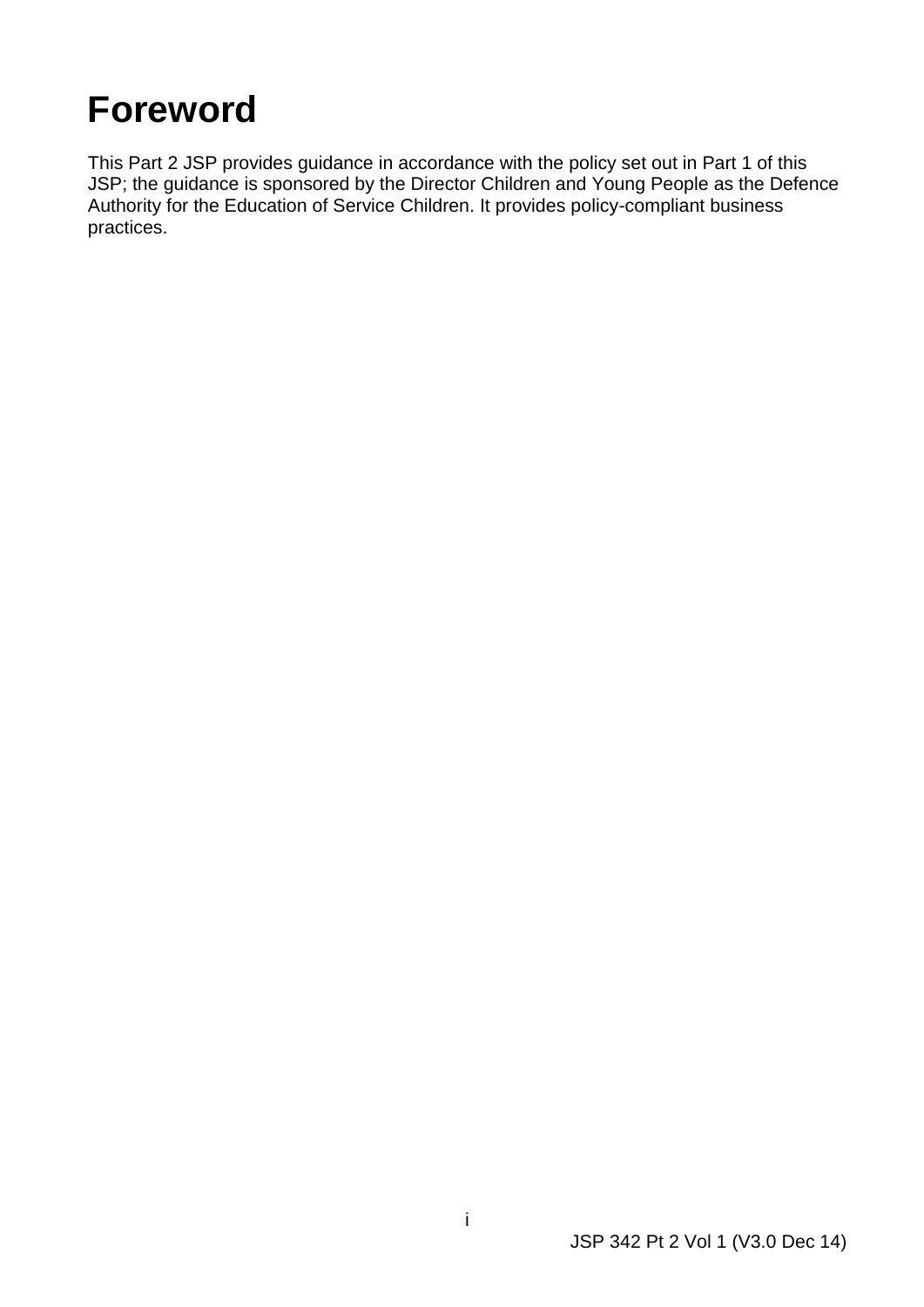# <span id="page-1-0"></span>**Foreword**

practices. This Part 2 JSP provides guidance in accordance with the policy set out in Part 1 of this JSP; the guidance is sponsored by the Director Children and Young People as the Defence Authority for the Education of Service Children. It provides policy-compliant business practices.<br>
intervals of the contract of the contract of the contract of the contract of the contract of the contract of<br>
intervals of the contract of the contract of the contract of the contract of the contract of the con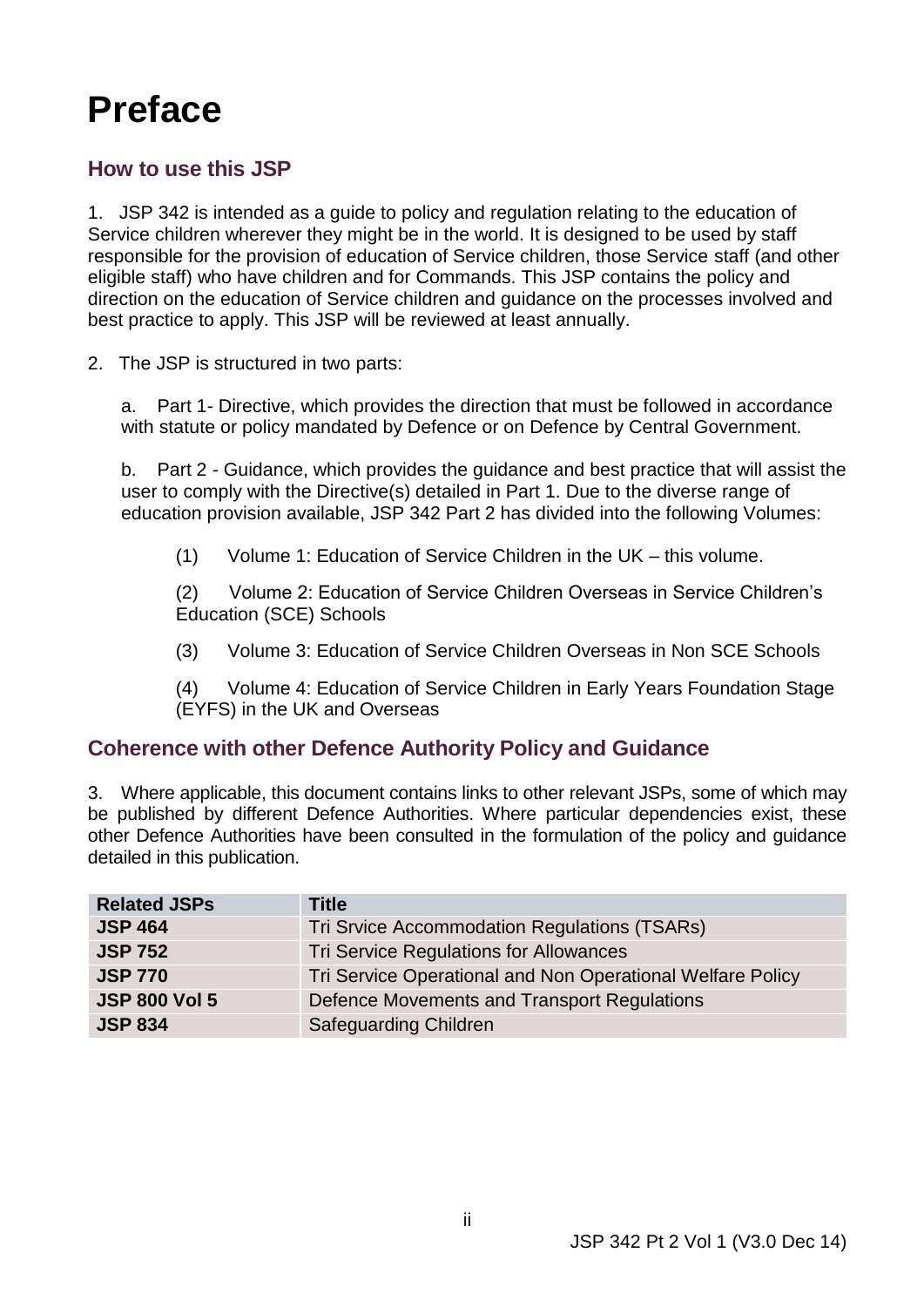# <span id="page-2-0"></span>**Preface**

## **How to use this JSP**

 1. JSP 342 is intended as a guide to policy and regulation relating to the education of responsible for the provision of education of Service children, those Service staff (and other eligible staff) who have children and for Commands. This JSP contains the policy and direction on the education of Service children and guidance on the processes involved and Service children wherever they might be in the world. It is designed to be used by staff best practice to apply. This JSP will be reviewed at least annually.

2. The JSP is structured in two parts:

a. Part 1- Directive, which provides the direction that must be followed in accordance with statute or policy mandated by Defence or on Defence by Central Government.

 $b_{-}$  education provision available, JSP 342 Part 2 has divided into the following Volumes: Part 2 - Guidance, which provides the guidance and best practice that will assist the user to comply with the Directive(s) detailed in Part 1. Due to the diverse range of

 $(1)$ Volume 1: Education of Service Children in the UK – this volume.

(2) Volume 2: Education of Service Children Overseas in Service Children's Education (SCE) Schools

 $(3)$ (3) Volume 3: Education of Service Children Overseas in Non SCE Schools

 $(4)$ (4) Volume 4: Education of Service Children in Early Years Foundation Stage (EYFS) in the UK and Overseas

## **Coherence with other Defence Authority Policy and Guidance**

 3. Where applicable, this document contains links to other relevant JSPs, some of which may be published by different Defence Authorities. Where particular dependencies exist, these other Defence Authorities have been consulted in the formulation of the policy and guidance detailed in this publication.

| <b>Related JSPs</b>  | <b>Title</b>                                               |
|----------------------|------------------------------------------------------------|
| <b>JSP 464</b>       | Tri Srvice Accommodation Regulations (TSARs)               |
| <b>JSP 752</b>       | Tri Service Regulations for Allowances                     |
| <b>JSP 770</b>       | Tri Service Operational and Non Operational Welfare Policy |
| <b>JSP 800 Vol 5</b> | Defence Movements and Transport Regulations                |
| <b>JSP 834</b>       | <b>Safeguarding Children</b>                               |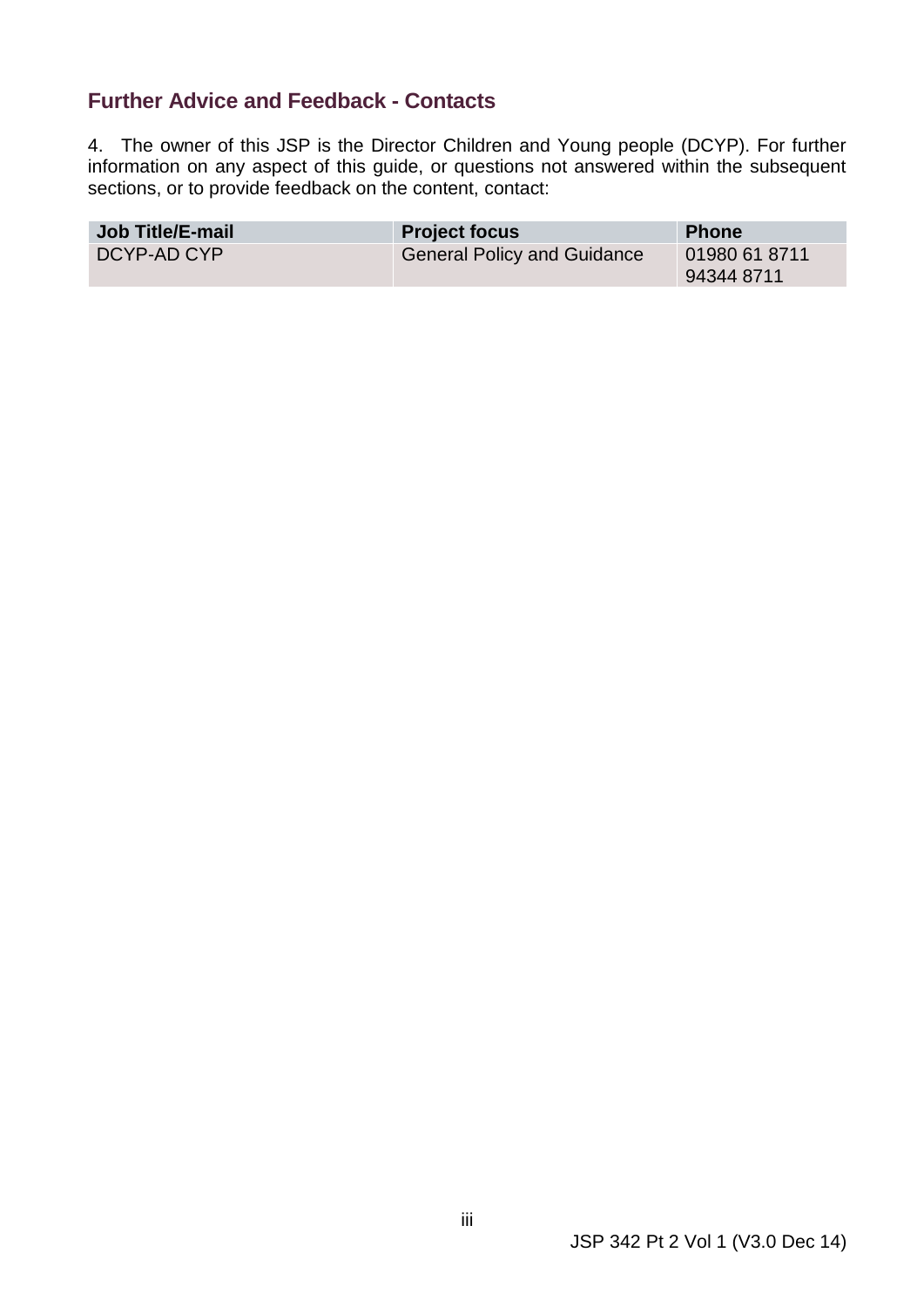#### <span id="page-3-0"></span> **Further Advice and Feedback - Contacts**

 4. The owner of this JSP is the Director Children and Young people (DCYP). For further information on any aspect of this guide, or questions not answered within the subsequent sections, or to provide feedback on the content, contact:

| <b>Job Title/E-mail</b> | <b>Project focus</b>        | <b>Phone</b>                |
|-------------------------|-----------------------------|-----------------------------|
| DCYP-AD CYP             | General Policy and Guidance | 01980 61 8711<br>94344 8711 |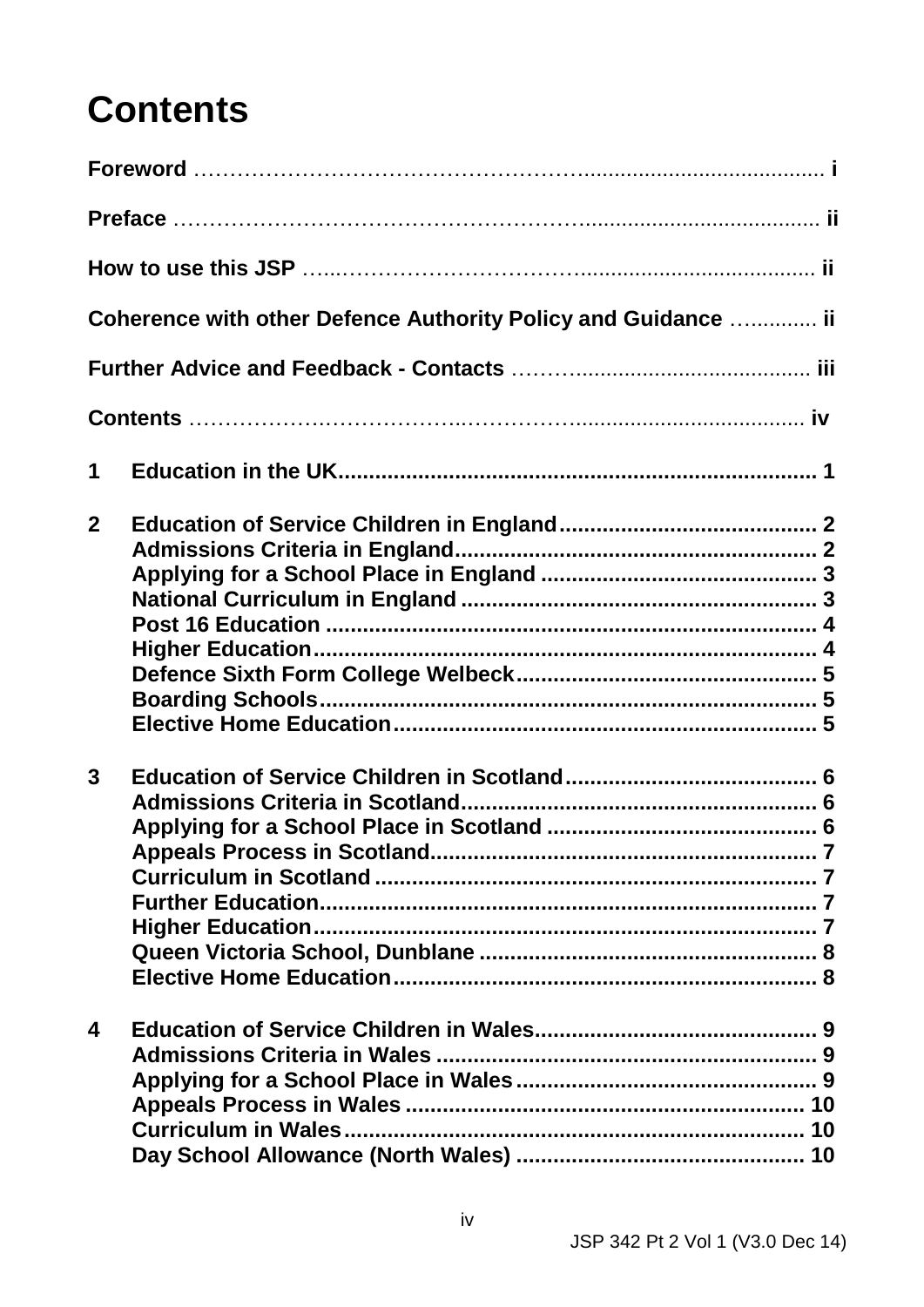# **Contents**

|              | Coherence with other Defence Authority Policy and Guidance  ii |
|--------------|----------------------------------------------------------------|
|              |                                                                |
|              |                                                                |
| 1            |                                                                |
| $\mathbf{2}$ |                                                                |
| 3            |                                                                |
| 4            |                                                                |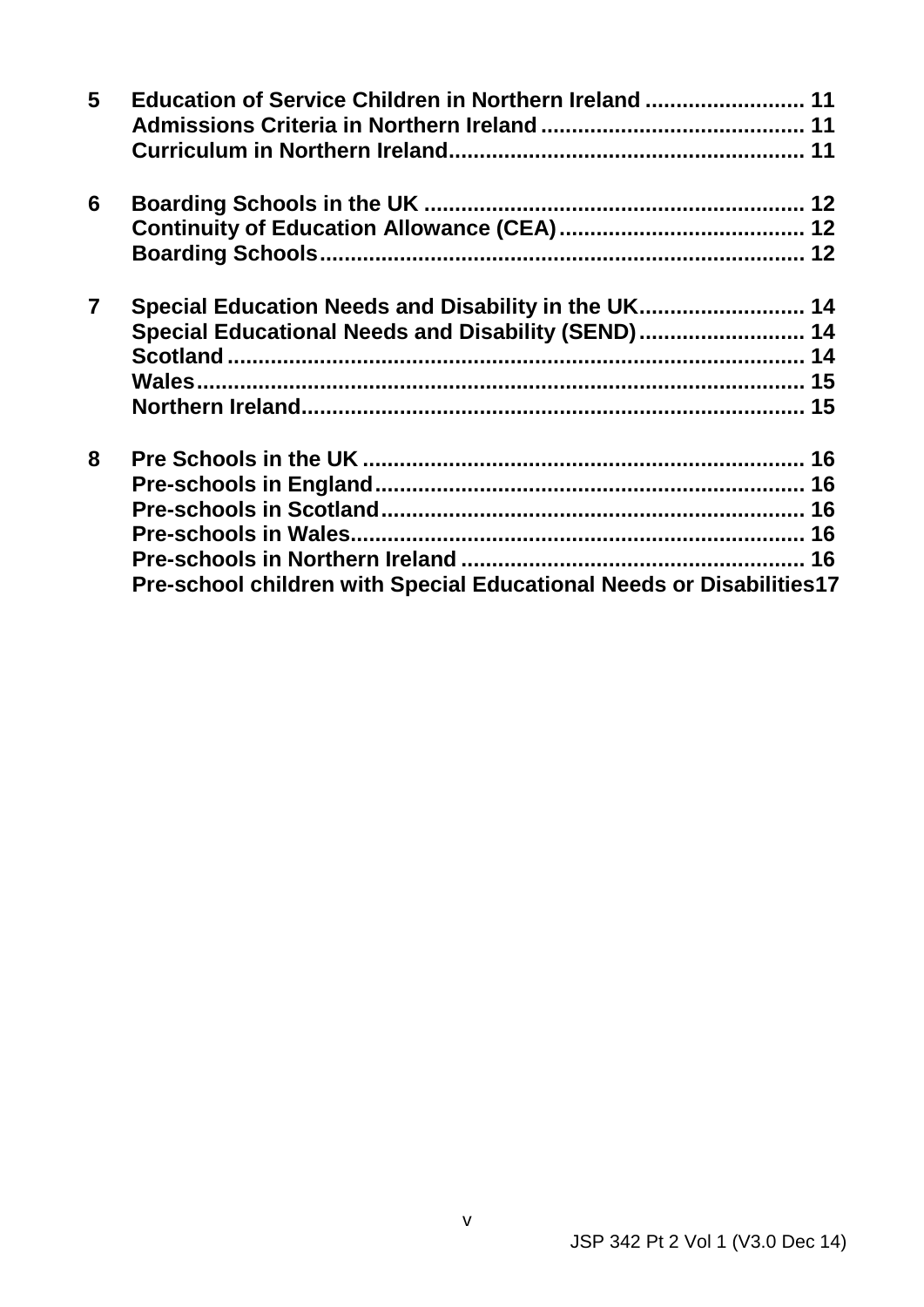| 5              | Education of Service Children in Northern Ireland  11                |  |
|----------------|----------------------------------------------------------------------|--|
| 6              |                                                                      |  |
|                |                                                                      |  |
|                |                                                                      |  |
| $\overline{7}$ | Special Education Needs and Disability in the UK 14                  |  |
|                | Special Educational Needs and Disability (SEND) 14                   |  |
|                |                                                                      |  |
|                |                                                                      |  |
|                |                                                                      |  |
| 8              |                                                                      |  |
|                |                                                                      |  |
|                |                                                                      |  |
|                |                                                                      |  |
|                |                                                                      |  |
|                | Pre-school children with Special Educational Needs or Disabilities17 |  |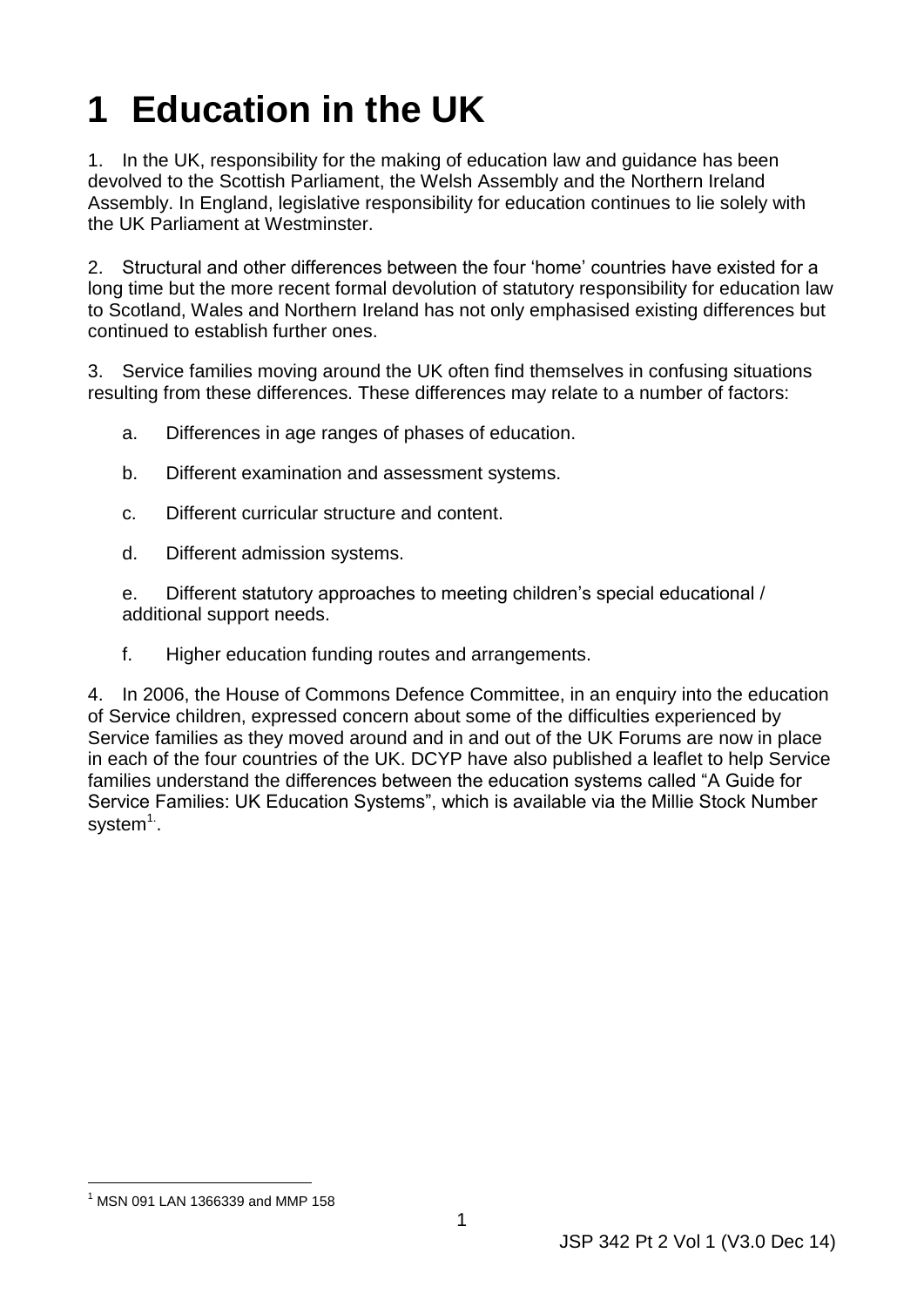# <span id="page-6-0"></span>**1 Education in the UK**

1. In the UK, responsibility for the making of education law and guidance has been devolved to the Scottish Parliament, the Welsh Assembly and the Northern Ireland Assembly. In England, legislative responsibility for education continues to lie solely with the UK Parliament at Westminster.

 continued to establish further ones. 2. Structural and other differences between the four 'home' countries have existed for a long time but the more recent formal devolution of statutory responsibility for education law to Scotland, Wales and Northern Ireland has not only emphasised existing differences but

3. Service families moving around the UK often find themselves in confusing situations resulting from these differences. These differences may relate to a number of factors:

- a. Differences in age ranges of phases of education.
- b. Different examination and assessment systems.
- c. Different curricular structure and content.
- d. Different admission systems.

e. Different statutory approaches to meeting children's special educational / additional support needs.

f. Higher education funding routes and arrangements.

 4. In 2006, the House of Commons Defence Committee, in an enquiry into the education in each of the four countries of the UK. DCYP have also published a leaflet to help Service families understand the differences between the education systems called "A Guide for of Service children, expressed concern about some of the difficulties experienced by Service families as they moved around and in and out of the UK Forums are now in place Service Families: UK Education Systems", which is available via the Millie Stock Number system $<sup>1</sup>$ .</sup>

<sup>-</sup> $1$  MSN 091 LAN 1366339 and MMP 158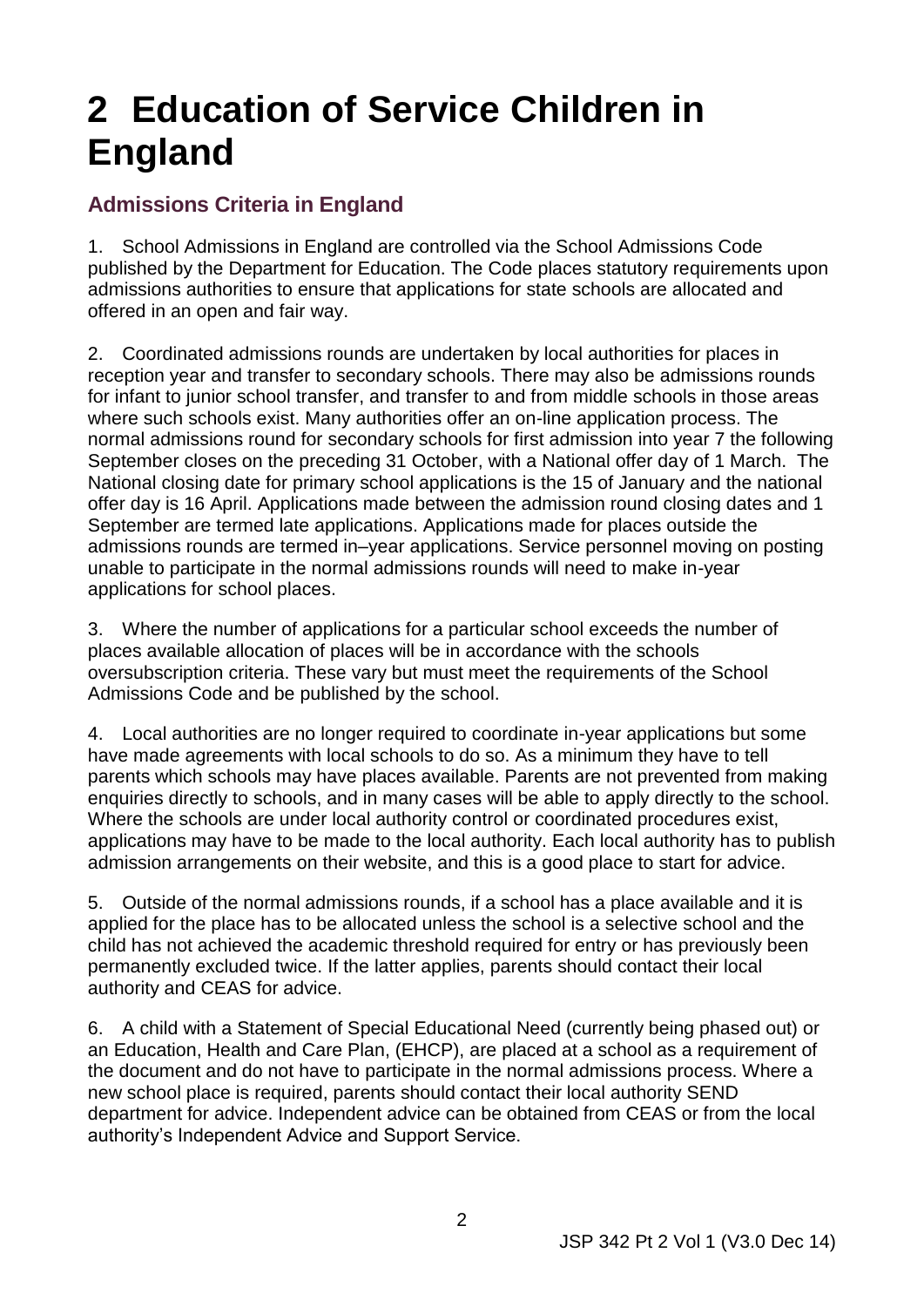# <span id="page-7-0"></span>**2 Education of Service Children in England**

# <span id="page-7-1"></span> **Admissions Criteria in England**

 1. School Admissions in England are controlled via the School Admissions Code admissions authorities to ensure that applications for state schools are allocated and offered in an open and fair way. published by the Department for Education. The Code places statutory requirements upon

 for infant to junior school transfer, and transfer to and from middle schools in those areas where such schools exist. Many authorities offer an on-line application process. The normal admissions round for secondary schools for first admission into year 7 the following September closes on the preceding 31 October, with a National offer day of 1 March. The 2. Coordinated admissions rounds are undertaken by local authorities for places in reception year and transfer to secondary schools. There may also be admissions rounds National closing date for primary school applications is the 15 of January and the national offer day is 16 April. Applications made between the admission round closing dates and 1 September are termed late applications. Applications made for places outside the admissions rounds are termed in–year applications. Service personnel moving on posting unable to participate in the normal admissions rounds will need to make in-year applications for school places.

3. Where the number of applications for a particular school exceeds the number of places available allocation of places will be in accordance with the schools oversubscription criteria. These vary but must meet the requirements of the School Admissions Code and be published by the school.

 have made agreements with local schools to do so. As a minimum they have to tell parents which schools may have places available. Parents are not prevented from making 4. Local authorities are no longer required to coordinate in-year applications but some enquiries directly to schools, and in many cases will be able to apply directly to the school. Where the schools are under local authority control or coordinated procedures exist, applications may have to be made to the local authority. Each local authority has to publish admission arrangements on their website, and this is a good place to start for advice.

 applied for the place has to be allocated unless the school is a selective school and the child has not achieved the academic threshold required for entry or has previously been authority and CEAS for advice. 5. Outside of the normal admissions rounds, if a school has a place available and it is permanently excluded twice. If the latter applies, parents should contact their local

6. A child with a Statement of Special Educational Need (currently being phased out) or an Education, Health and Care Plan, (EHCP), are placed at a school as a requirement of the document and do not have to participate in the normal admissions process. Where a new school place is required, parents should contact their local authority SEND department for advice. Independent advice can be obtained from CEAS or from the local authority's Independent Advice and Support Service.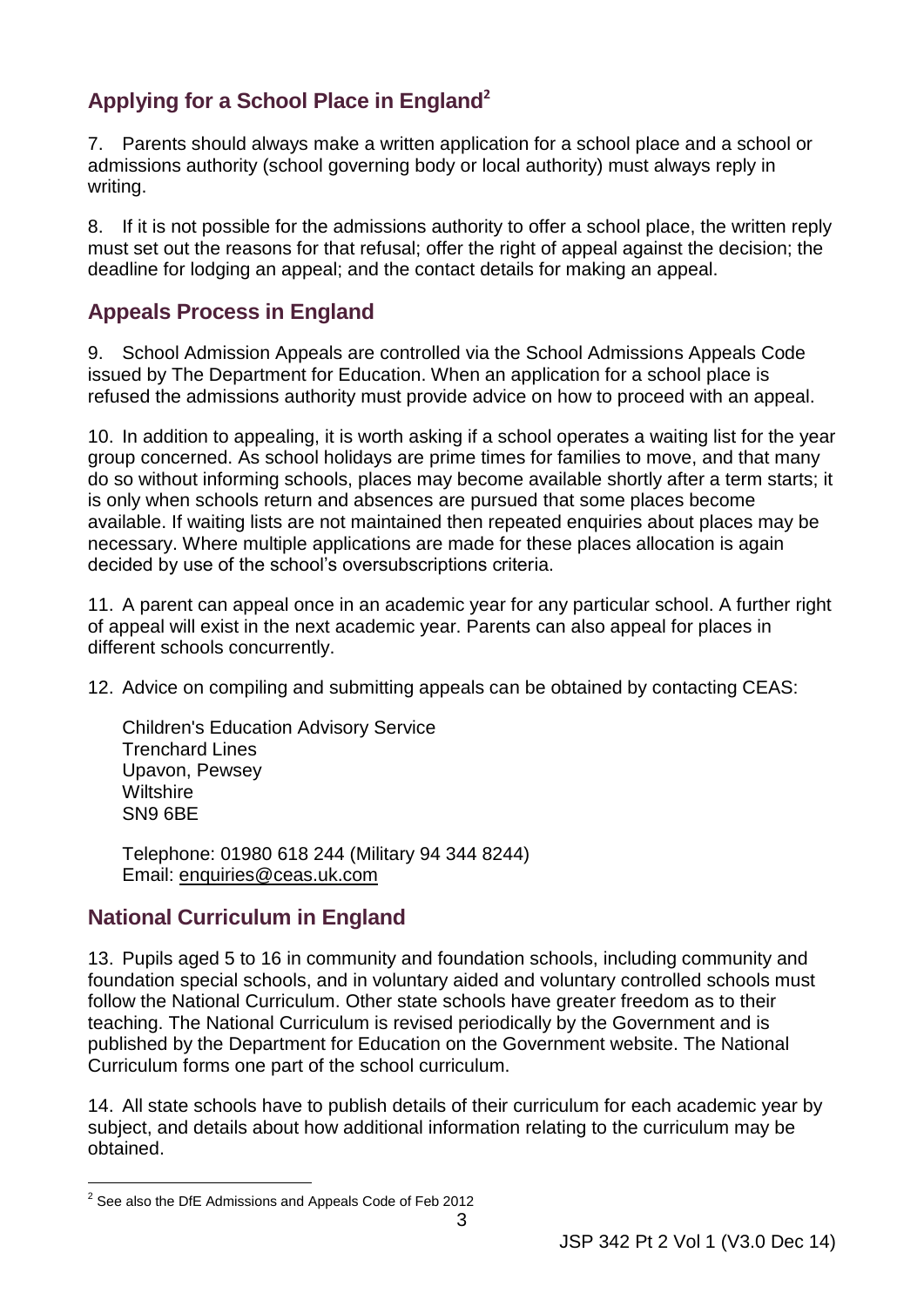# <span id="page-8-0"></span> **Applying for a School Place in England<sup>2</sup>**

 7. Parents should always make a written application for a school place and a school or admissions authority (school governing body or local authority) must always reply in writing.

8. If it is not possible for the admissions authority to offer a school place, the written reply must set out the reasons for that refusal; offer the right of appeal against the decision; the deadline for lodging an appeal; and the contact details for making an appeal.

# **Appeals Process in England**

 issued by The Department for Education. When an application for a school place is 9. School Admission Appeals are controlled via the School Admissions Appeals Code refused the admissions authority must provide advice on how to proceed with an appeal.

 group concerned. As school holidays are prime times for families to move, and that many is only when schools return and absences are pursued that some places become necessary. Where multiple applications are made for these places allocation is again decided by use of the school's oversubscriptions criteria. 10. In addition to appealing, it is worth asking if a school operates a waiting list for the year do so without informing schools, places may become available shortly after a term starts; it available. If waiting lists are not maintained then repeated enquiries about places may be

 11. A parent can appeal once in an academic year for any particular school. A further right of appeal will exist in the next academic year. Parents can also appeal for places in different schools concurrently.

12. Advice on compiling and submitting appeals can be obtained by contacting CEAS:

 Trenchard Lines Upavon, Pewsey Wiltshire SN9 6BE Children's Education Advisory Service

 Telephone: 01980 618 244 (Military 94 344 8244) Email: [enquiries@ceas.uk.com](mailto:enquiries@ceas.uk.com)

## <span id="page-8-1"></span> **National Curriculum in England**

 follow the National Curriculum. Other state schools have greater freedom as to their Curriculum forms one part of the school curriculum. 13. Pupils aged 5 to 16 in community and foundation schools, including community and foundation special schools, and in voluntary aided and voluntary controlled schools must teaching. The National Curriculum is revised periodically by the Government and is published by the Department for Education on the Government website. The National

 subject, and details about how additional information relating to the curriculum may be obtained. obtained. 2 See also the DfE Admissions and Appeals Code of Feb 2012 14. All state schools have to publish details of their curriculum for each academic year by

<sup>-</sup>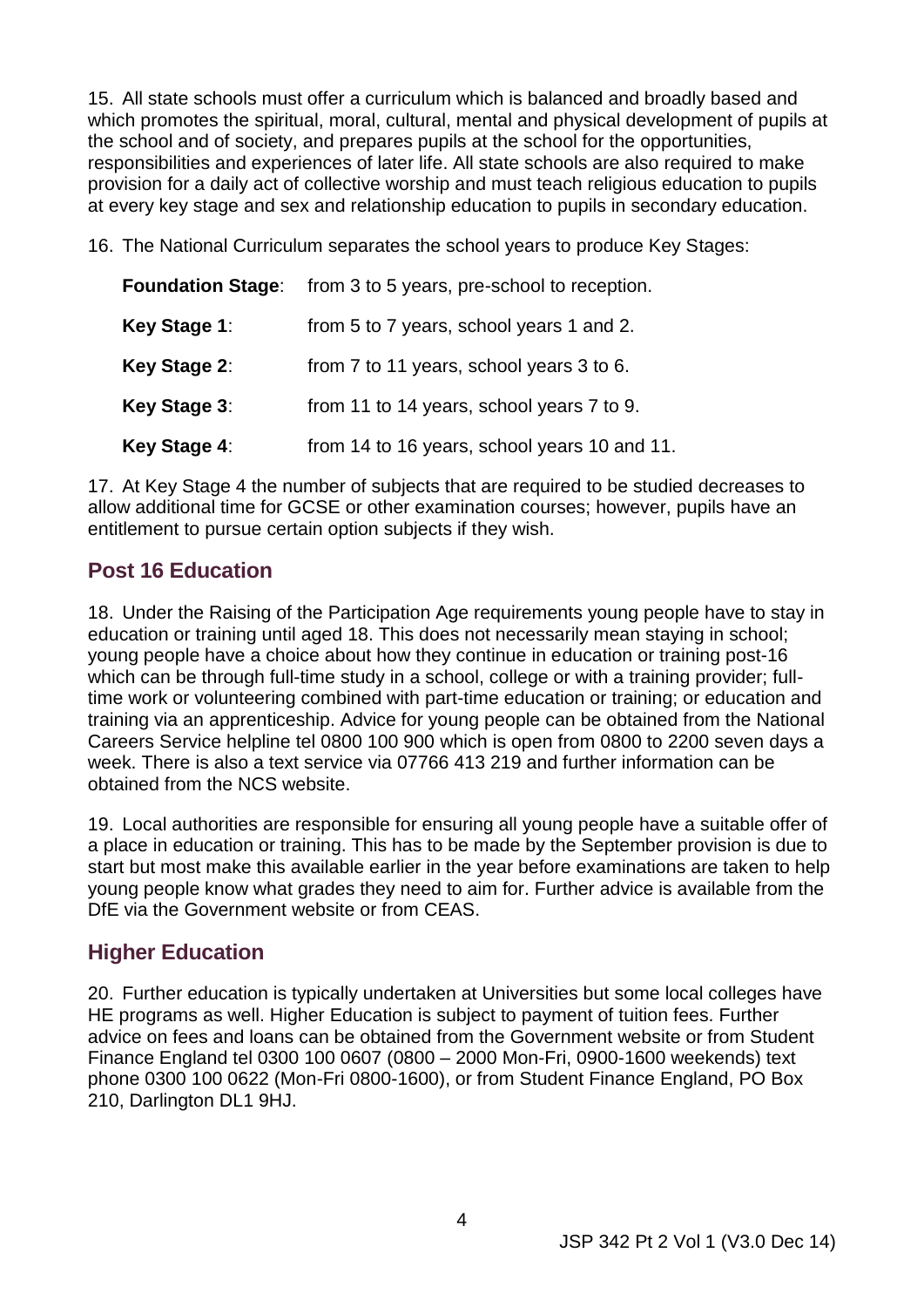<span id="page-9-2"></span> responsibilities and experiences of later life. All state schools are also required to make 15. All state schools must offer a curriculum which is balanced and broadly based and which promotes the spiritual, moral, cultural, mental and physical development of pupils at the school and of society, and prepares pupils at the school for the opportunities, provision for a daily act of collective worship and must teach religious education to pupils at every key stage and sex and relationship education to pupils in secondary education.

16. The National Curriculum separates the school years to produce Key Stages:

| <b>Foundation Stage:</b> | from 3 to 5 years, pre-school to reception.  |
|--------------------------|----------------------------------------------|
| Key Stage 1:             | from 5 to 7 years, school years 1 and 2.     |
| Key Stage 2:             | from 7 to 11 years, school years 3 to 6.     |
| Key Stage 3:             | from 11 to 14 years, school years 7 to 9.    |
| Key Stage 4:             | from 14 to 16 years, school years 10 and 11. |

17. At Key Stage 4 the number of subjects that are required to be studied decreases to allow additional time for GCSE or other examination courses; however, pupils have an entitlement to pursue certain option subjects if they wish.

## <span id="page-9-0"></span> **Post 16 Education**

 which can be through full-time study in a school, college or with a training provider; full- Careers Service helpline tel 0800 100 900 which is open from 0800 to 2200 seven days a week. There is also a text service via 07766 413 219 and further information can be 18. Under the Raising of the Participation Age requirements young people have to stay in education or training until aged 18. This does not necessarily mean staying in school; young people have a choice about how they continue in education or training post-16 time work or volunteering combined with part-time education or training; or education and training via an apprenticeship. Advice for young people can be obtained from the National obtained from the NCS website.

 young people know what grades they need to aim for. Further advice is available from the 19. Local authorities are responsible for ensuring all young people have a suitable offer of a place in education or training. This has to be made by the September provision is due to start but most make this available earlier in the year before examinations are taken to help DfE via the Government website or from CEAS.

## <span id="page-9-1"></span> **Higher Education**

 Finance England tel 0300 100 0607 (0800 – 2000 Mon-Fri, 0900-1600 weekends) text phone 0300 100 0622 (Mon-Fri 0800-1600), or from Student Finance England, PO Box 20. Further education is typically undertaken at Universities but some local colleges have HE programs as well. Higher Education is subject to payment of tuition fees. Further advice on fees and loans can be obtained from the Government website or from Student 210, Darlington DL1 9HJ.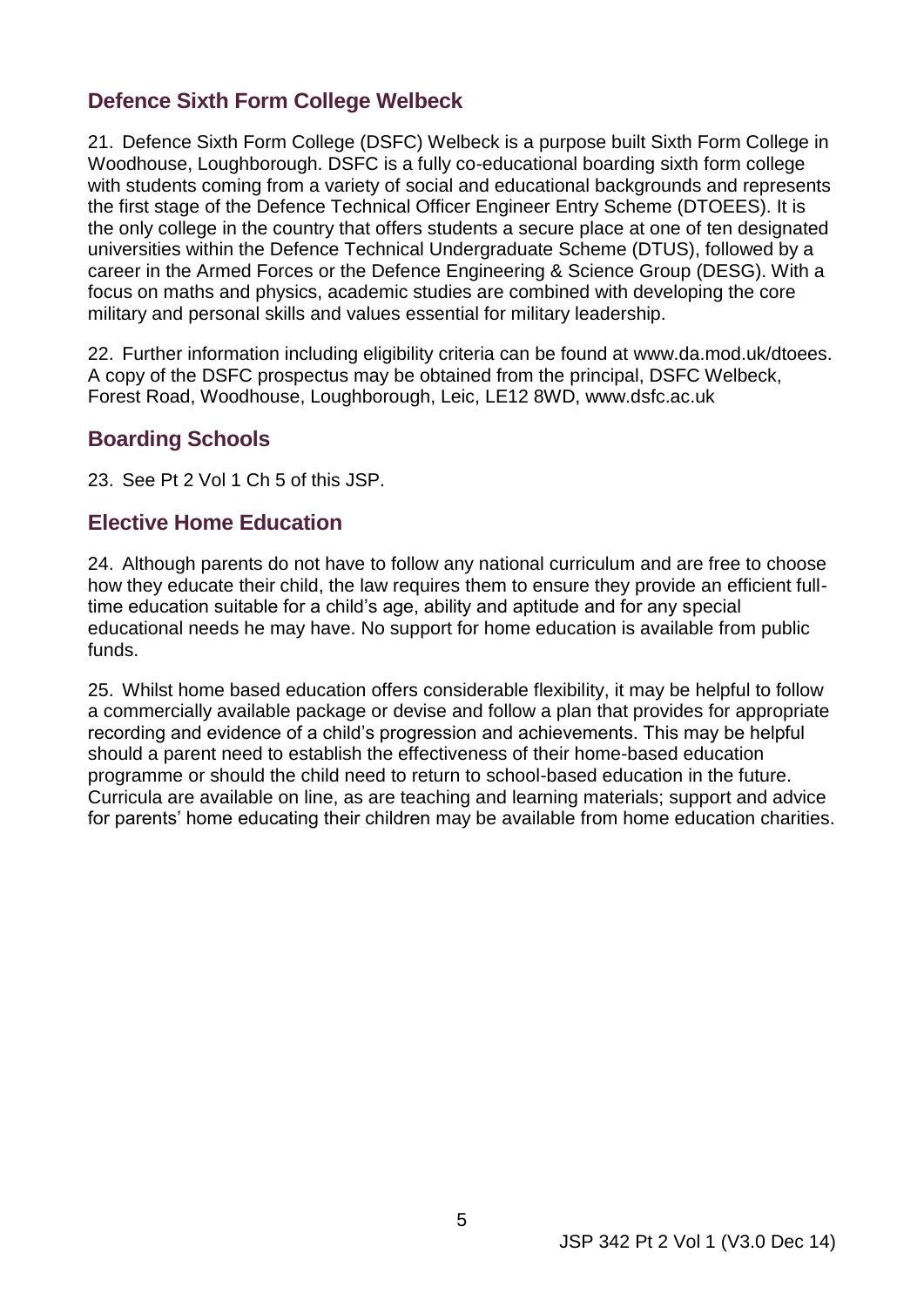# <span id="page-10-0"></span> **Defence Sixth Form College Welbeck**

 with students coming from a variety of social and educational backgrounds and represents the only college in the country that offers students a secure place at one of ten designated universities within the Defence Technical Undergraduate Scheme (DTUS), followed by a focus on maths and physics, academic studies are combined with developing the core 21. Defence Sixth Form College (DSFC) Welbeck is a purpose built Sixth Form College in Woodhouse, Loughborough. DSFC is a fully co-educational boarding sixth form college the first stage of the Defence Technical Officer Engineer Entry Scheme (DTOEES). It is career in the Armed Forces or the Defence Engineering & Science Group (DESG). With a military and personal skills and values essential for military leadership.

 22. Further information including eligibility criteria can be found at [www.da.mod.uk/dtoees.](http://www.da.mod.uk/dtoees) A copy of the DSFC prospectus may be obtained from the principal, DSFC Welbeck, Forest Road, Woodhouse, Loughborough, Leic, LE12 8WD, www.dsfc.ac.uk

#### <span id="page-10-1"></span> **Boarding Schools**

23. See Pt 2 Vol 1 Ch 5 of this JSP.

#### <span id="page-10-2"></span> **Elective Home Education**

 24. Although parents do not have to follow any national curriculum and are free to choose how they educate their child, the law requires them to ensure they provide an efficient fulltime education suitable for a child's age, ability and aptitude and for any special educational needs he may have. No support for home education is available from public funds.

 25. Whilst home based education offers considerable flexibility, it may be helpful to follow programme or should the child need to return to school-based education in the future. a commercially available package or devise and follow a plan that provides for appropriate recording and evidence of a child's progression and achievements. This may be helpful should a parent need to establish the effectiveness of their home-based education Curricula are available on line, as are teaching and learning materials; support and advice for parents' home educating their children may be available from home education charities.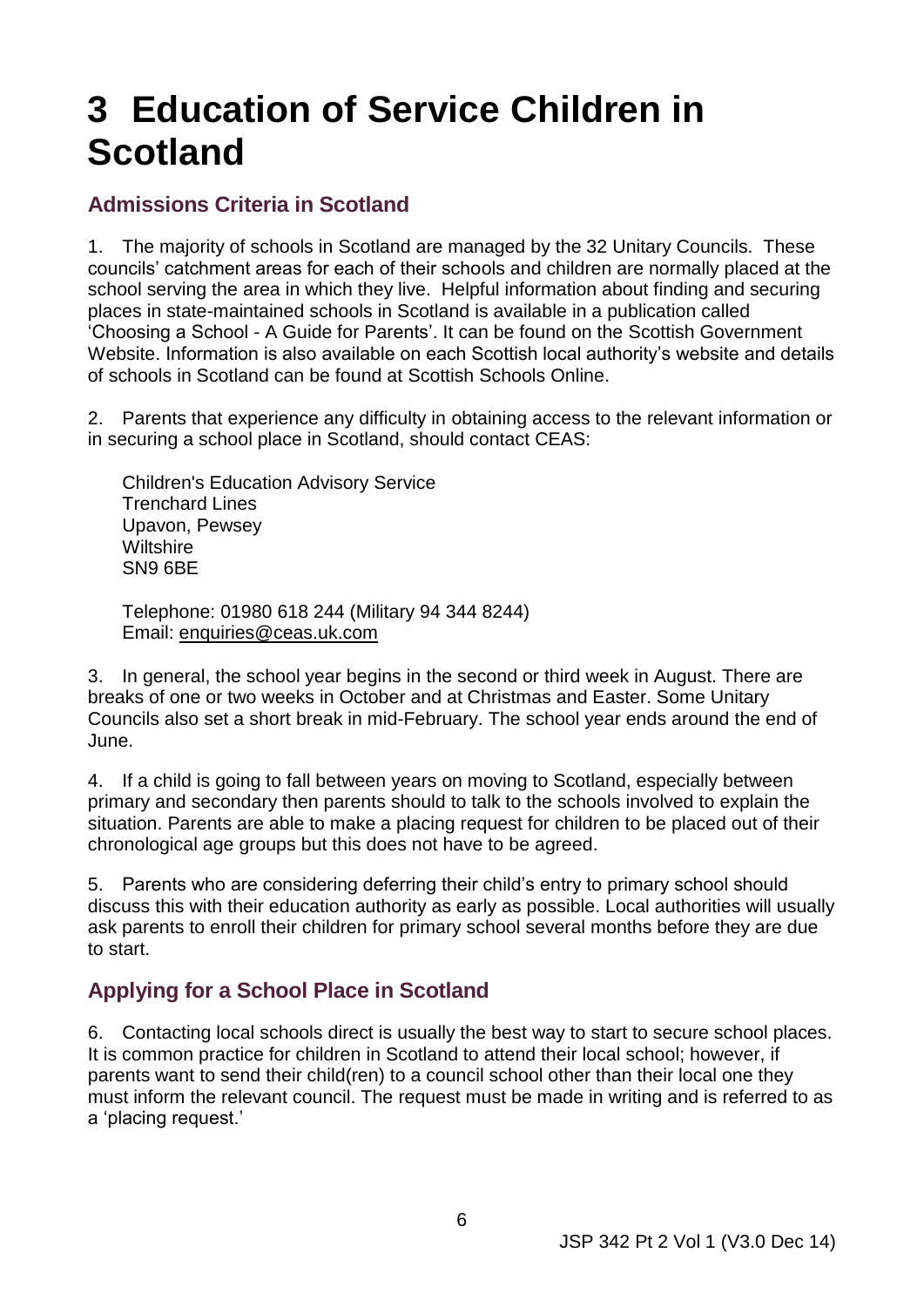# <span id="page-11-0"></span>**3 Education of Service Children in Scotland**

## <span id="page-11-1"></span> **Admissions Criteria in Scotland**

 1. The majority of schools in Scotland are managed by the 32 Unitary Councils. These 'Choosing a School - A Guide for Parents'. It can be found on the Scottish Government of schools in Scotland can be found at Scottish Schools Online. councils' catchment areas for each of their schools and children are normally placed at the school serving the area in which they live. Helpful information about finding and securing places in state-maintained schools in Scotland is available in a publication called Website. Information is also available on each Scottish local authority's website and details

2. Parents that experience any difficulty in obtaining access to the relevant information or in securing a school place in Scotland, should contact CEAS:

 Trenchard Lines Upavon, Pewsey Wiltshire SN9 6BE Children's Education Advisory Service

 Telephone: 01980 618 244 (Military 94 344 8244) Email: [enquiries@ceas.uk.com](mailto:enquiries@ceas.uk.com)

 Councils also set a short break in mid-February. The school year ends around the end of 3. In general, the school year begins in the second or third week in August. There are breaks of one or two weeks in October and at Christmas and Easter. Some Unitary June.

 situation. Parents are able to make a placing request for children to be placed out of their chronological age groups but this does not have to be agreed. 4. If a child is going to fall between years on moving to Scotland, especially between primary and secondary then parents should to talk to the schools involved to explain the

 ask parents to enroll their children for primary school several months before they are due 5. Parents who are considering deferring their child's entry to primary school should discuss this with their education authority as early as possible. Local authorities will usually to start.

## <span id="page-11-2"></span> **Applying for a School Place in Scotland**

 parents want to send their child(ren) to a council school other than their local one they must inform the relevant council. The request must be made in writing and is referred to as 6. Contacting local schools direct is usually the best way to start to secure school places. It is common practice for children in Scotland to attend their local school; however, if a 'placing request.'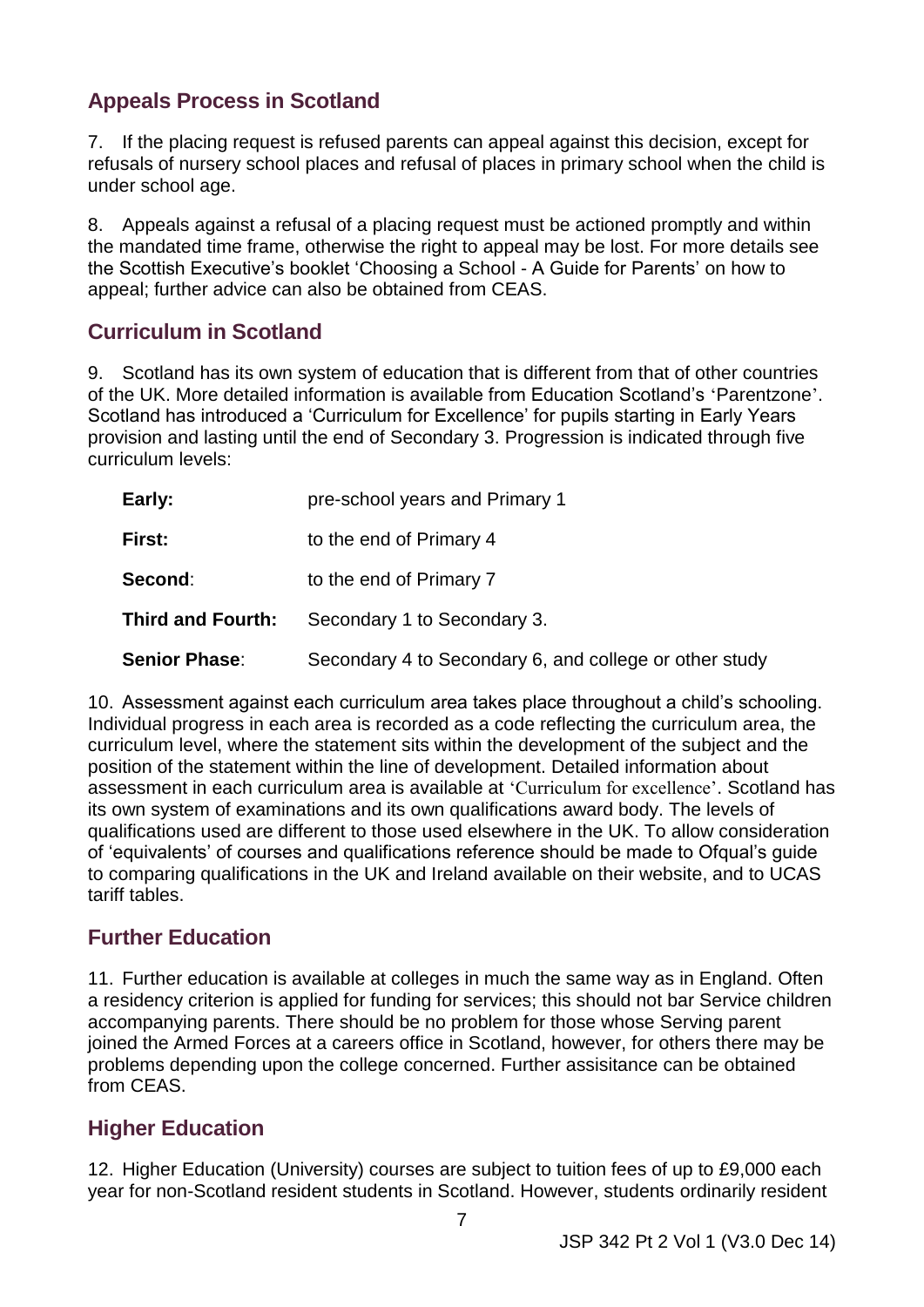# <span id="page-12-0"></span> **Appeals Process in Scotland**

7. If the placing request is refused parents can appeal against this decision, except for refusals of nursery school places and refusal of places in primary school when the child is under school age.

 the Scottish Executive's booklet 'Choosing a School - A Guide for Parents' on how to 8. Appeals against a refusal of a placing request must be actioned promptly and within the mandated time frame, otherwise the right to appeal may be lost. For more details see appeal; further advice can also be obtained from CEAS.

## <span id="page-12-1"></span> **Curriculum in Scotland**

 9. Scotland has its own system of education that is different from that of other countries provision and lasting until the end of Secondary 3. Progression is indicated through five of the UK. More detailed information is available from Education Scotland's '[Parentzone](http://www.educationscotland.gov.uk/parentzone/index.asp)'. Scotland has introduced a 'Curriculum for Excellence' for pupils starting in Early Years curriculum levels:

| Early:                   | pre-school years and Primary 1                         |
|--------------------------|--------------------------------------------------------|
| First:                   | to the end of Primary 4                                |
| Second:                  | to the end of Primary 7                                |
| <b>Third and Fourth:</b> | Secondary 1 to Secondary 3.                            |
| <b>Senior Phase:</b>     | Secondary 4 to Secondary 6, and college or other study |

 curriculum level, where the statement sits within the development of the subject and the qualifications used are different to those used elsewhere in the UK. To allow consideration tariff tables. 10. Assessment against each curriculum area takes place throughout a child's schooling. Individual progress in each area is recorded as a code reflecting the curriculum area, the position of the statement within the line of development. Detailed information about assessment in each curriculum area is available at ['Curriculum for excellence'](http://www.educationscotland.gov.uk/Images/all_experiences_outcomes_tcm4-539562.pdf). Scotland has its own system of examinations and its own qualifications award body. The levels of of 'equivalents' of courses and qualifications reference should be made to Ofqual's guide to comparing qualifications in the UK and Ireland available on their website, and to UCAS

## <span id="page-12-2"></span> **Further Education**

 a residency criterion is applied for funding for services; this should not bar Service children joined the Armed Forces at a careers office in Scotland, however, for others there may be 11. Further education is available at colleges in much the same way as in England. Often accompanying parents. There should be no problem for those whose Serving parent problems depending upon the college concerned. Further assisitance can be obtained from CEAS.

# <span id="page-12-3"></span> **Higher Education**

 12. Higher Education (University) courses are subject to tuition fees of up to £9,000 each year for non-Scotland resident students in Scotland. However, students ordinarily resident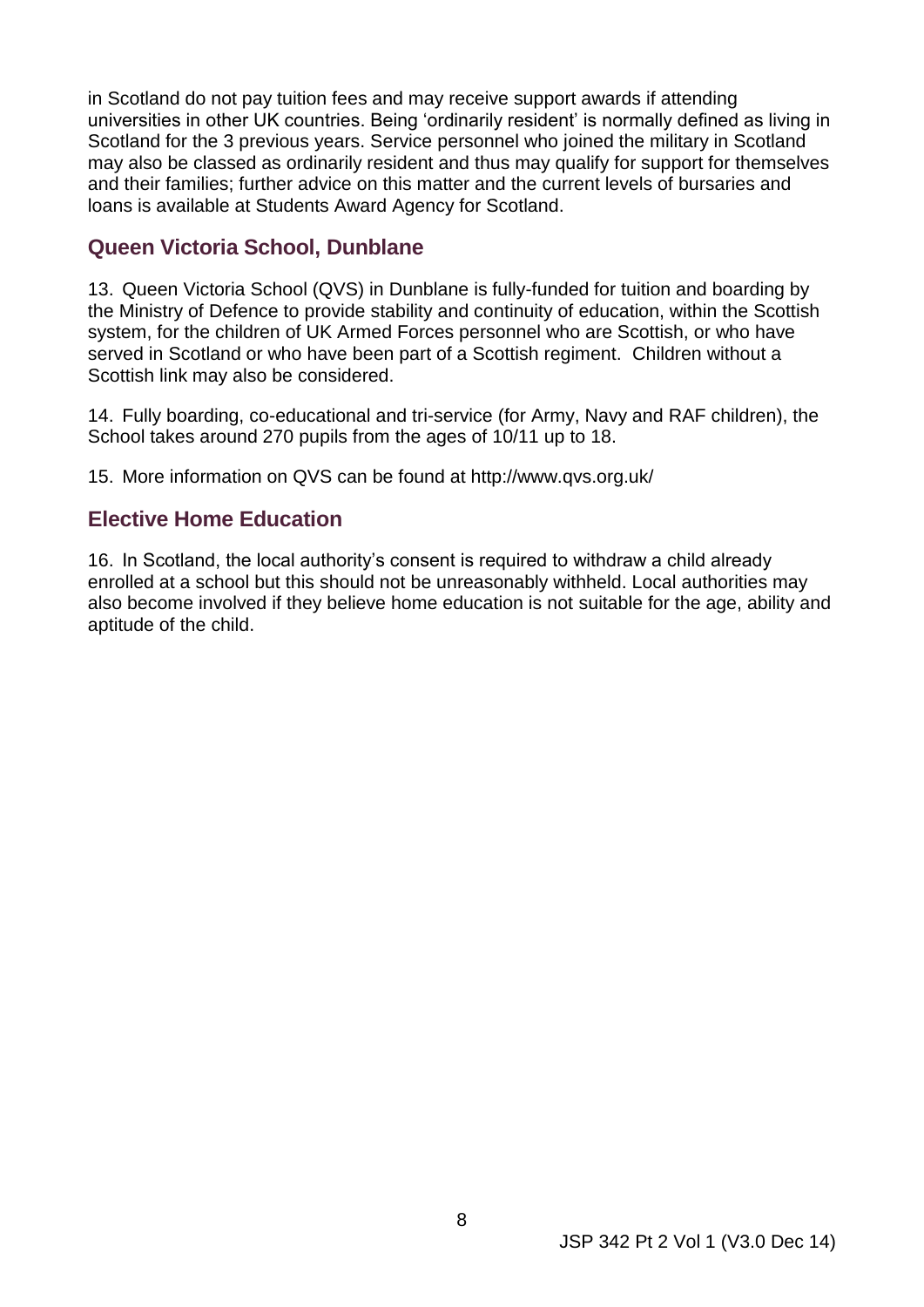in Scotland do not pay tuition fees and may receive support awards if attending universities in other UK countries. Being 'ordinarily resident' is normally defined as living in Scotland for the 3 previous years. Service personnel who joined the military in Scotland and their families; further advice on this matter and the current levels of bursaries and may also be classed as ordinarily resident and thus may qualify for support for themselves loans is available at [Students Award Agency for Scotland.](http://www.saas.gov.uk/student_support/funding_update.htm)

#### <span id="page-13-0"></span> **Queen Victoria School, Dunblane**

 served in Scotland or who have been part of a Scottish regiment. Children without a 13. Queen Victoria School (QVS) in Dunblane is fully-funded for tuition and boarding by the Ministry of Defence to provide stability and continuity of education, within the Scottish system, for the children of UK Armed Forces personnel who are Scottish, or who have Scottish link may also be considered.

 14. Fully boarding, co-educational and tri-service (for Army, Navy and RAF children), the School takes around 270 pupils from the ages of 10/11 up to 18.

15. More information on QVS can be found at http://www.qvs.org.uk/

#### <span id="page-13-1"></span> **Elective Home Education**

16. In Scotland, the local authority's consent is required to withdraw a child already enrolled at a school but this should not be unreasonably withheld. Local authorities may also become involved if they believe home education is not suitable for the age, ability and aptitude of the child.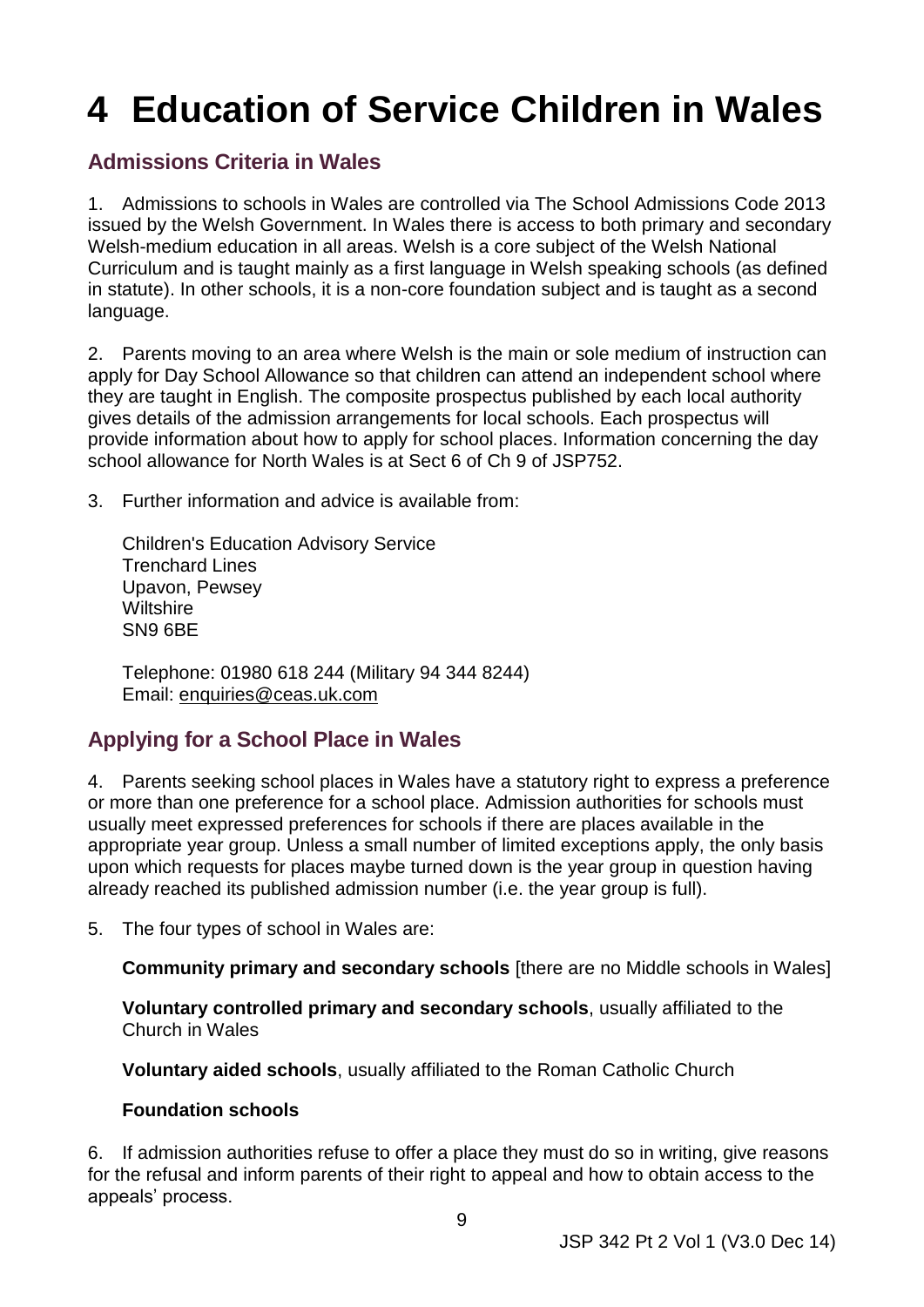# <span id="page-14-0"></span>**4 Education of Service Children in Wales**

# <span id="page-14-1"></span> **Admissions Criteria in Wales**

 issued by the Welsh Government. In Wales there is access to both primary and secondary 1. Admissions to schools in Wales are controlled via The School Admissions Code 2013 Welsh-medium education in all areas. Welsh is a core subject of the Welsh National Curriculum and is taught mainly as a first language in Welsh speaking schools (as defined in statute). In other schools, it is a non-core foundation subject and is taught as a second language.

2. Parents moving to an area where Welsh is the main or sole medium of instruction can apply for Day School Allowance so that children can attend an independent school where they are taught in English. The composite prospectus published by each local authority gives details of the admission arrangements for local schools. Each prospectus will provide information about how to apply for school places. Information concerning the day school allowance for North Wales is at Sect 6 of Ch 9 of JSP752.

3. Further information and advice is available from:

 Trenchard Lines Upavon, Pewsey Wiltshire SN9 6BE Children's Education Advisory Service

 Telephone: 01980 618 244 (Military 94 344 8244) Email: [enquiries@ceas.uk.com](mailto:enquiries@ceas.uk.com)

# <span id="page-14-2"></span> **Applying for a School Place in Wales**

 4. Parents seeking school places in Wales have a statutory right to express a preference upon which requests for places maybe turned down is the year group in question having already reached its published admission number (i.e. the year group is full). or more than one preference for a school place. Admission authorities for schools must usually meet expressed preferences for schools if there are places available in the appropriate year group. Unless a small number of limited exceptions apply, the only basis

5. The four types of school in Wales are:

**Community primary and secondary schools** [there are no Middle schools in Wales]

**Voluntary controlled primary and secondary schools**, usually affiliated to the Church in Wales

**Voluntary aided schools**, usually affiliated to the Roman Catholic Church

#### **Foundation schools**

 6. If admission authorities refuse to offer a place they must do so in writing, give reasons for the refusal and inform parents of their right to appeal and how to obtain access to the appeals' process.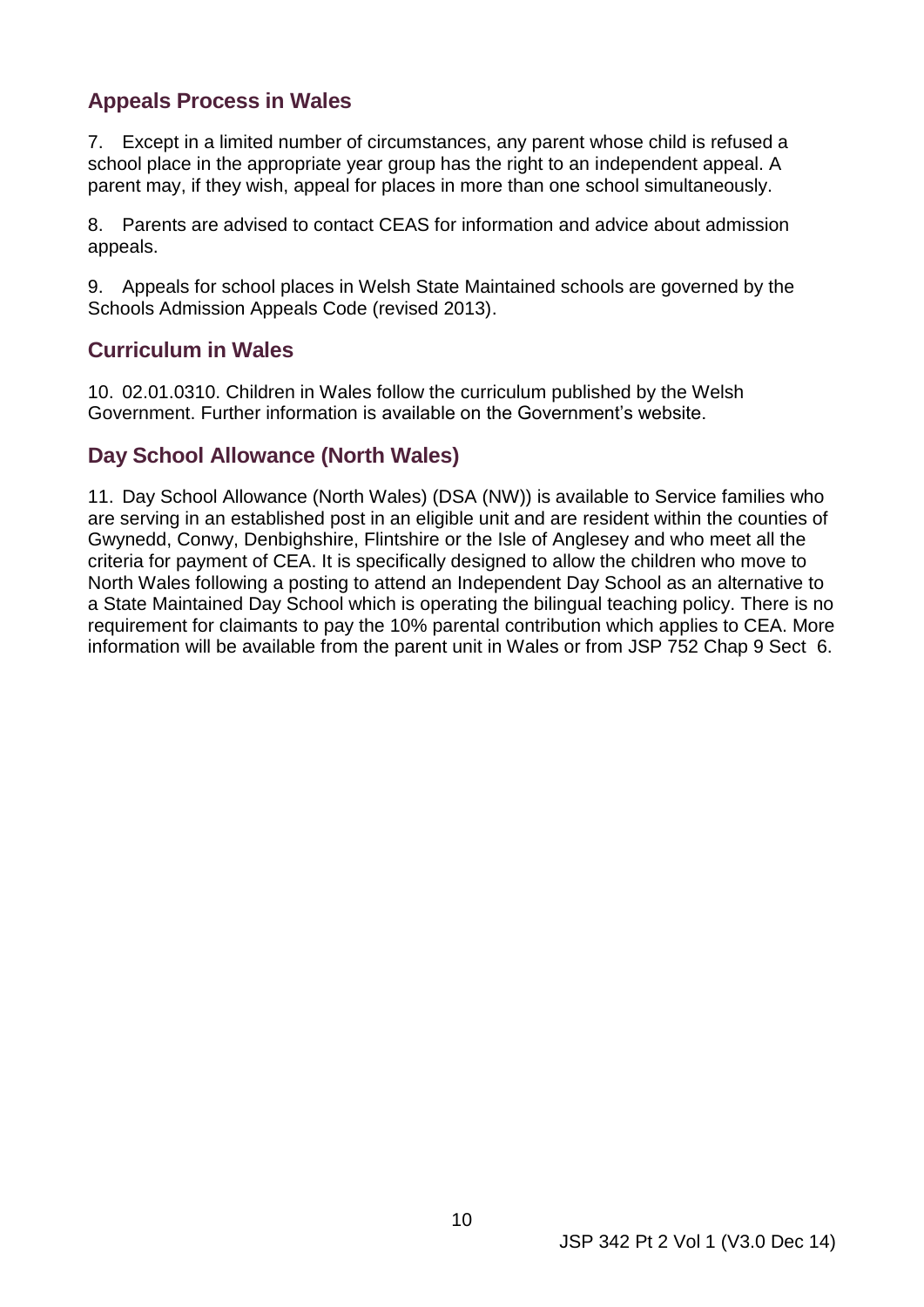# <span id="page-15-0"></span> **Appeals Process in Wales**

 7. Except in a limited number of circumstances, any parent whose child is refused a school place in the appropriate year group has the right to an independent appeal. A parent may, if they wish, appeal for places in more than one school simultaneously.

8. Parents are advised to contact CEAS for information and advice about admission appeals.

9. Appeals for school places in Welsh State Maintained schools are governed by the Schools Admission Appeals Code (revised 2013).

#### <span id="page-15-1"></span> **Curriculum in Wales**

 10. 02.01.0310. Children in Wales follow the curriculum published by the Welsh Government. Further information is available on the Government's website.

# <span id="page-15-2"></span> **Day School Allowance (North Wales)**

 North Wales following a posting to attend an Independent Day School as an alternative to information will be available from the parent unit in Wales or from JSP 752 Chap 9 Sect 6. 11. Day School Allowance (North Wales) (DSA (NW)) is available to Service families who are serving in an established post in an eligible unit and are resident within the counties of Gwynedd, Conwy, Denbighshire, Flintshire or the Isle of Anglesey and who meet all the criteria for payment of CEA. It is specifically designed to allow the children who move to a State Maintained Day School which is operating the bilingual teaching policy. There is no requirement for claimants to pay the 10% parental contribution which applies to CEA. More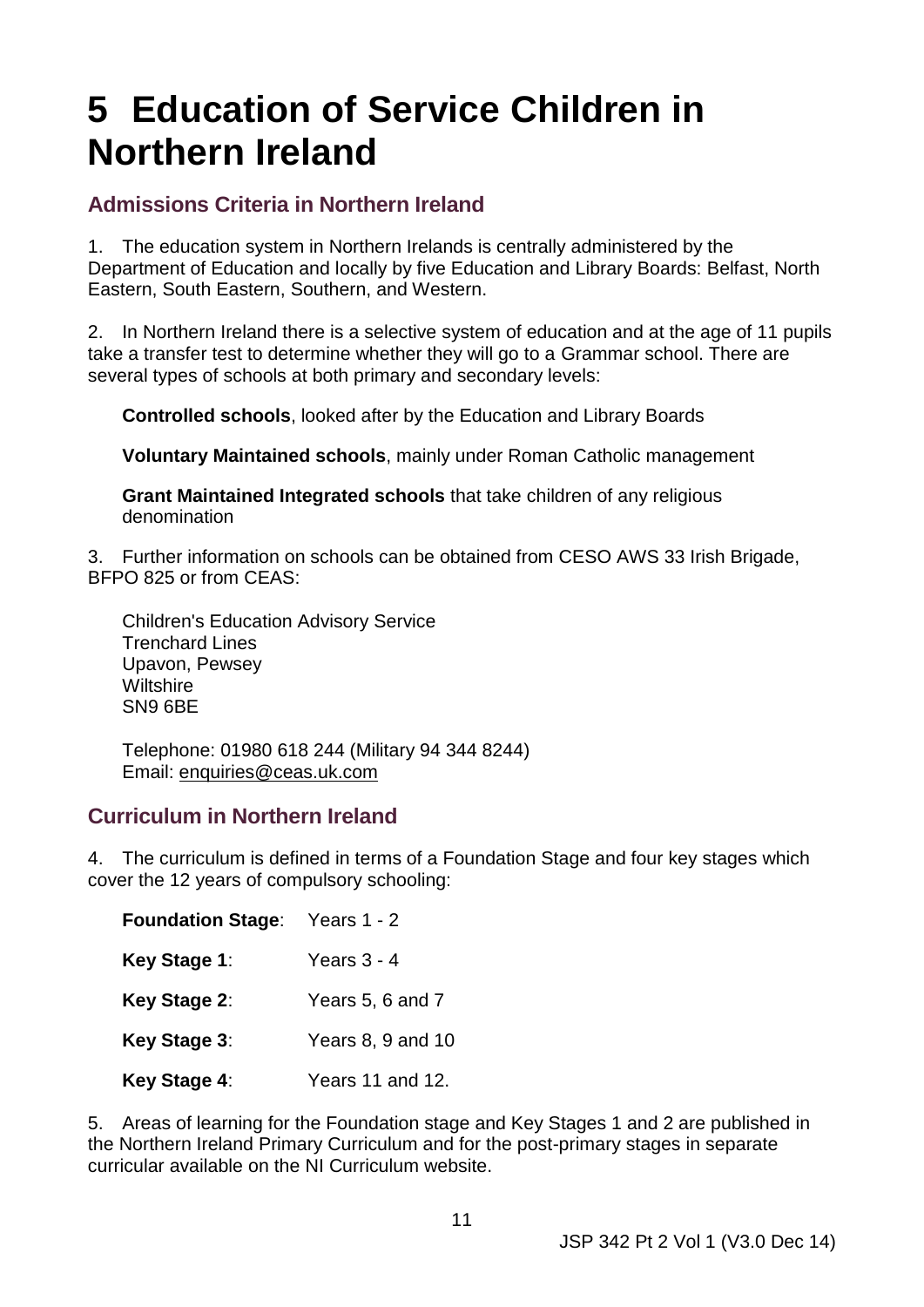# <span id="page-16-0"></span>**5 Education of Service Children in Northern Ireland**

# <span id="page-16-1"></span> **Admissions Criteria in Northern Ireland**

 1. The education system in Northern Irelands is centrally administered by the Eastern, South Eastern, Southern, and Western. Department of Education and locally by five Education and Library Boards: Belfast, North

 2. In Northern Ireland there is a selective system of education and at the age of 11 pupils take a transfer test to determine whether they will go to a Grammar school. There are several types of schools at both primary and secondary levels:

**Controlled schools**, looked after by the Education and Library Boards

**Voluntary Maintained schools**, mainly under Roman Catholic management

**Grant Maintained Integrated schools** that take children of any religious denomination

 3. Further information on schools can be obtained from CESO AWS 33 Irish Brigade, BFPO 825 or from CEAS:

 Trenchard Lines Upavon, Pewsey Wiltshire SN9 6BE Children's Education Advisory Service

 Telephone: 01980 618 244 (Military 94 344 8244) Email: [enquiries@ceas.uk.com](mailto:enquiries@ceas.uk.com)

## <span id="page-16-2"></span> **Curriculum in Northern Ireland**

 4. The curriculum is defined in terms of a Foundation Stage and four key stages which cover the 12 years of compulsory schooling:

| <b>Foundation Stage:</b> | Years 1 - 2       |
|--------------------------|-------------------|
| Key Stage 1:             | Years $3 - 4$     |
| Key Stage 2:             | Years 5, 6 and 7  |
| Key Stage 3:             | Years 8, 9 and 10 |
| Key Stage 4:             | Years 11 and 12.  |

 5. Areas of learning for the Foundation stage and Key Stages 1 and 2 are published in the Northern Ireland Primary Curriculum and for the post-primary stages in separate curricular available on the NI Curriculum website.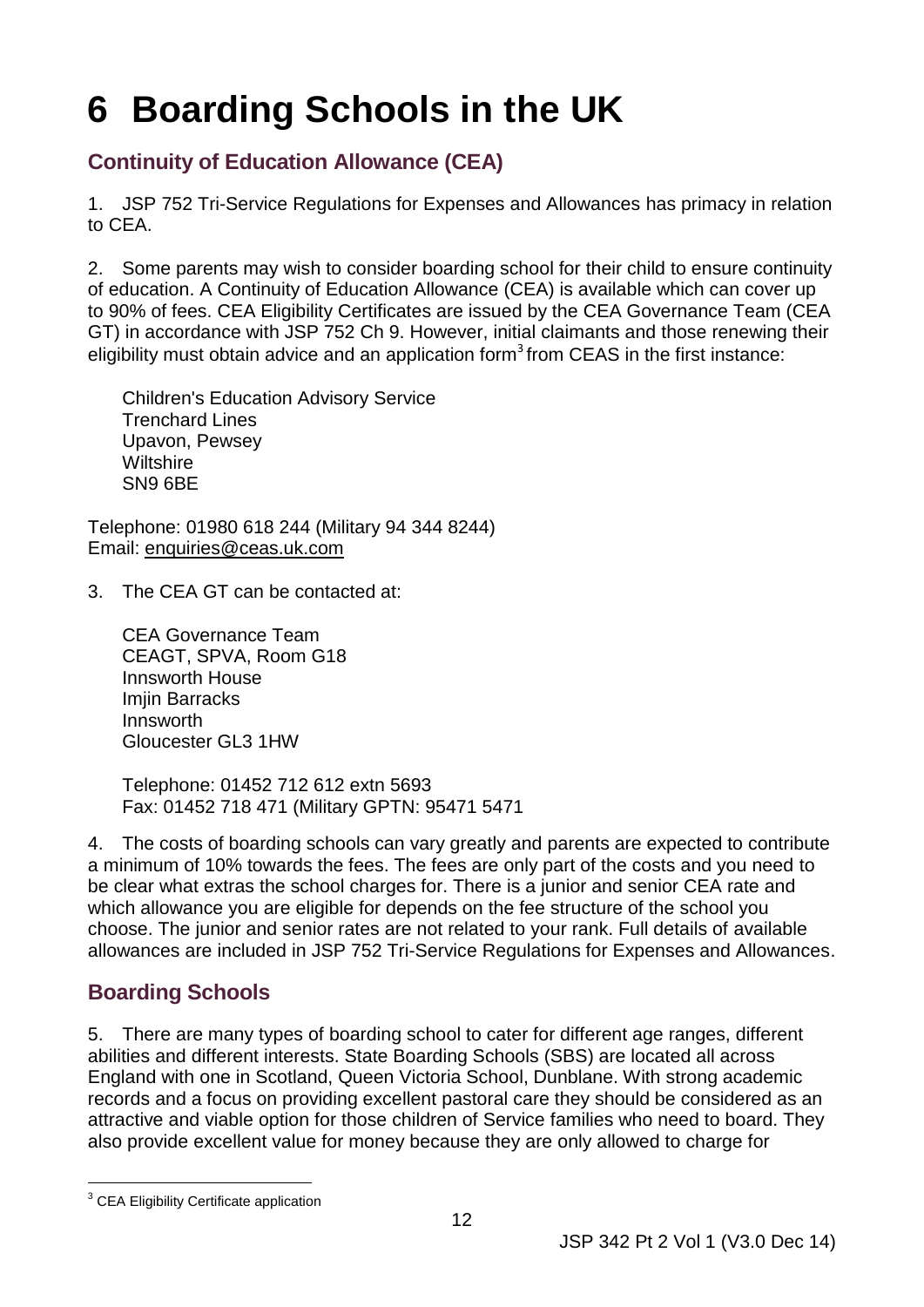# <span id="page-17-0"></span>**6 Boarding Schools in the UK**

# <span id="page-17-1"></span> **Continuity of Education Allowance (CEA)**

 1. [JSP 752 Tri-Service Regulations for Expenses and Allowances](http://defenceintranet.diif.r.mil.uk/Personnel/Military/Remuneration/Pages/JSP752.aspx) has primacy in relation to CEA.

 GT) in accordance with JSP 752 Ch 9. However, initial claimants and those renewing their 2. Some parents may wish to consider boarding school for their child to ensure continuity of education. A Continuity of Education Allowance (CEA) is available which can cover up to 90% of fees. CEA Eligibility Certificates are issued by the CEA Governance Team (CEA eligibility must obtain advice and an application form<sup>3</sup> from CEAS in the first instance:

 Trenchard Lines Upavon, Pewsey Wiltshire SN9 6BE Children's Education Advisory Service

 Telephone: 01980 618 244 (Military 94 344 8244) Email: [enquiries@ceas.uk.com](mailto:enquiries@ceas.uk.com) 

3. The CEA GT can be contacted at:

 CEA Governance Team CEAGT, SPVA, Room G18 Innsworth House Gloucester GL3 1HW Imjin Barracks Innsworth

 Fax: 01452 718 471 (Military GPTN: 95471 5471 Telephone: 01452 712 612 extn 5693

 a minimum of 10% towards the fees. The fees are only part of the costs and you need to choose. The junior and senior rates are not related to your rank. Full details of available allowances are included in [JSP 752 Tri-Service Regulations for Expenses and Allowances.](http://defenceintranet.diif.r.mil.uk/Personnel/Military/Remuneration/Pages/JSP752.aspx) 4. The costs of boarding schools can vary greatly and parents are expected to contribute be clear what extras the school charges for. There is a junior and senior CEA rate and which allowance you are eligible for depends on the fee structure of the school you

# <span id="page-17-2"></span> **Boarding Schools**

 records and a focus on providing excellent pastoral care they should be considered as an attractive and viable option for those children of Service families who need to board. They 5. There are many types of boarding school to cater for different age ranges, different abilities and different interests. State Boarding Schools (SBS) are located all across England with one in Scotland, Queen Victoria School, Dunblane. With strong academic also provide excellent value for money because they are only allowed to charge for

<sup>-</sup><sup>3</sup> CEA Eligibility Certificate application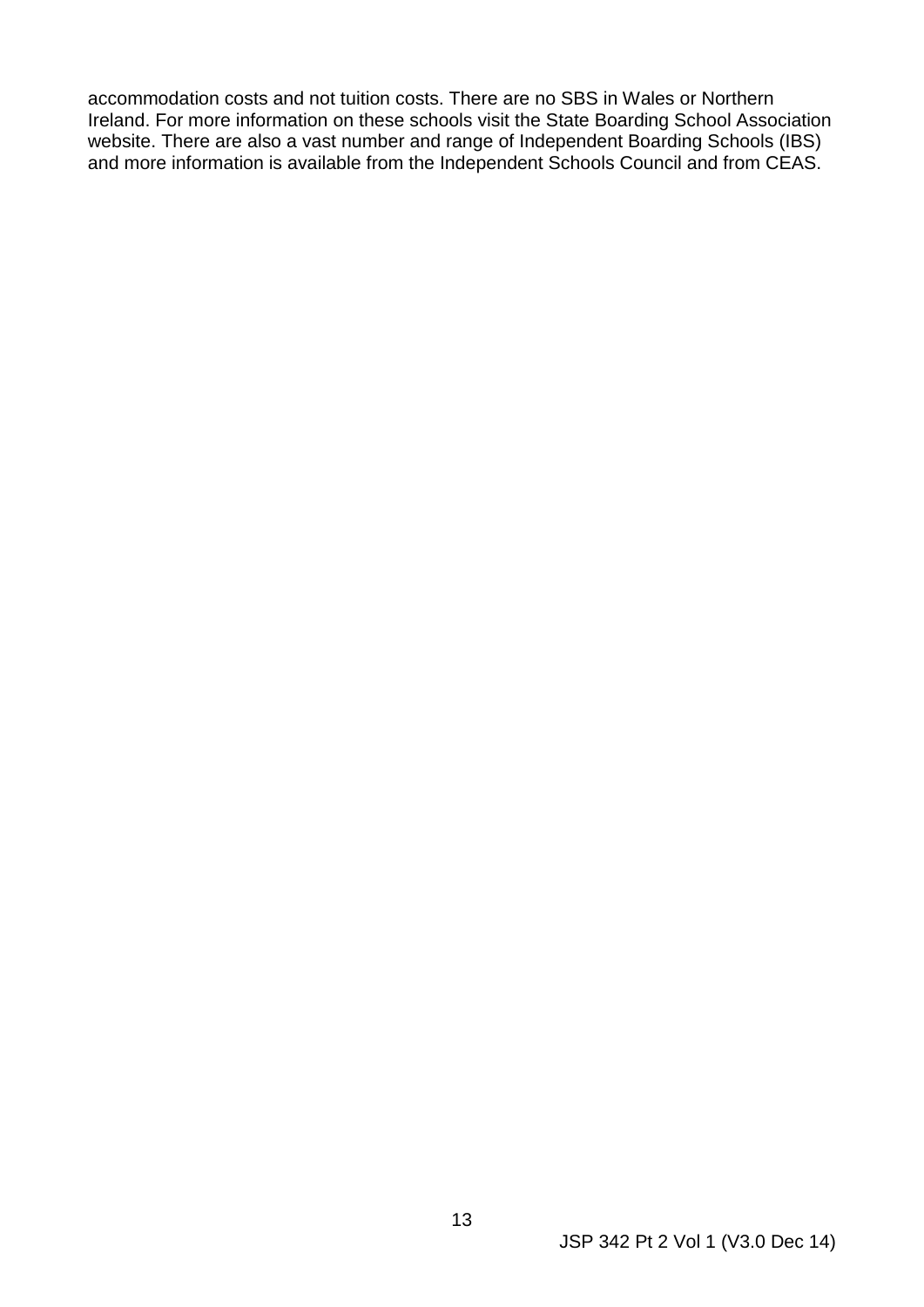accommodation costs and not tuition costs. There are no SBS in Wales or Northern Ireland. For more information on these schools visit the State Boarding School Association website. There are also a vast number and range of Independent Boarding Schools (IBS) and more information is available from the Independent Schools Council and from CEAS.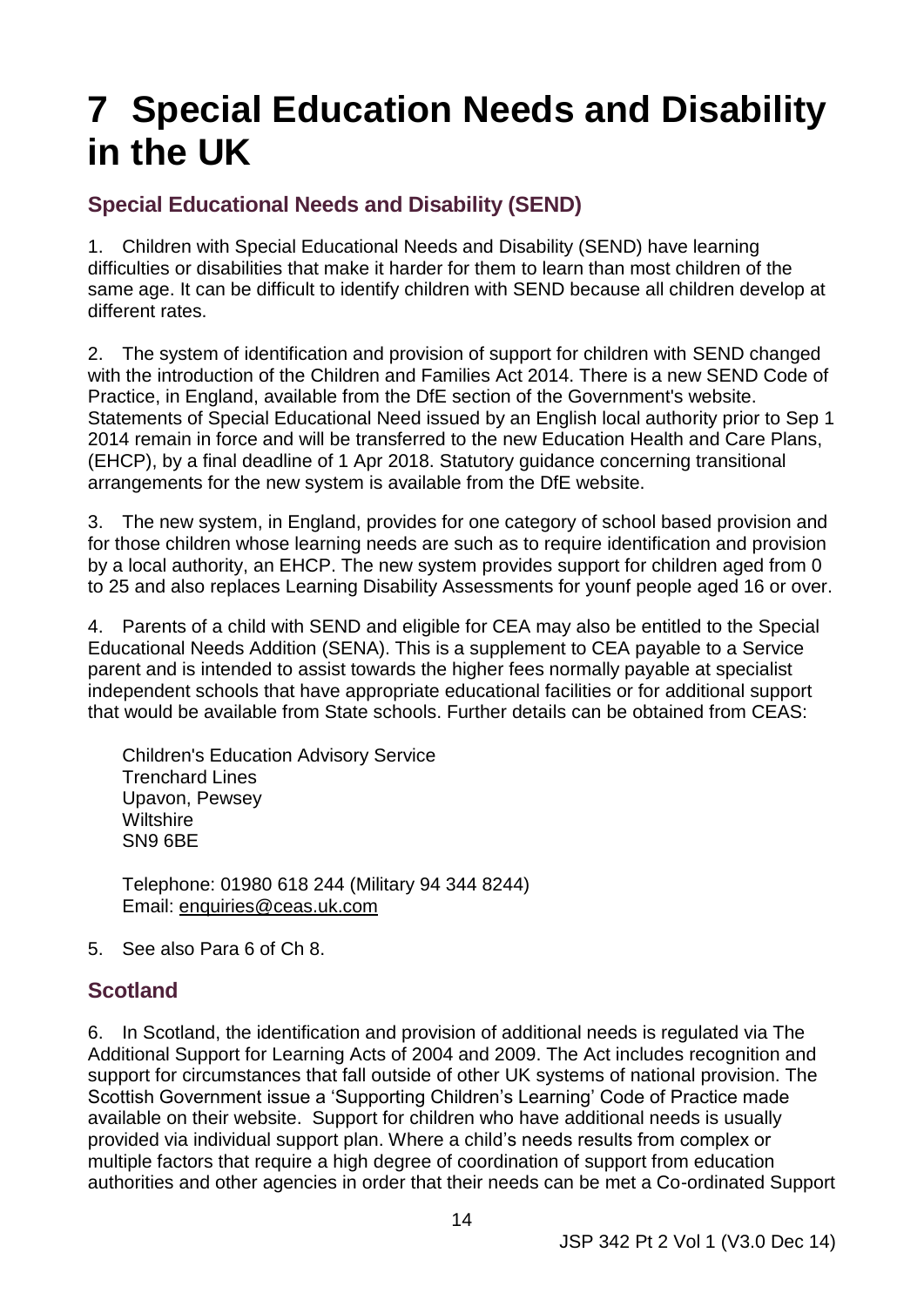# <span id="page-19-0"></span>**7 Special Education Needs and Disability in the UK**

# <span id="page-19-1"></span> **Special Educational Needs and Disability (SEND)**

 same age. It can be difficult to identify children with SEND because all children develop at 1. Children with Special Educational Needs and Disability (SEND) have learning difficulties or disabilities that make it harder for them to learn than most children of the different rates.

 Practice, in England, available from the DfE section of the Government's website. 2. The system of identification and provision of support for children with SEND changed with the introduction of the Children and Families Act 2014. There is a new SEND Code of Statements of Special Educational Need issued by an English local authority prior to Sep 1 2014 remain in force and will be transferred to the new Education Health and Care Plans, (EHCP), by a final deadline of 1 Apr 2018. Statutory guidance concerning transitional arrangements for the new system is available from the DfE website.

 by a local authority, an EHCP. The new system provides support for children aged from 0 3. The new system, in England, provides for one category of school based provision and for those children whose learning needs are such as to require identification and provision to 25 and also replaces Learning Disability Assessments for younf people aged 16 or over.

 4. Parents of a child with SEND and eligible for CEA may also be entitled to the Special Educational Needs Addition (SENA). This is a supplement to CEA payable to a Service parent and is intended to assist towards the higher fees normally payable at specialist independent schools that have appropriate educational facilities or for additional support that would be available from State schools. Further details can be obtained from CEAS:

 Trenchard Lines Upavon, Pewsey Wiltshire SN9 6BE Children's Education Advisory Service

 Telephone: 01980 618 244 (Military 94 344 8244) Email: [enquiries@ceas.uk.com](mailto:enquiries@ceas.uk.com)

5. See also Para 6 of Ch 8.

## <span id="page-19-2"></span> **Scotland**

 Additional Support for Learning Acts of 2004 and 2009. The Act includes recognition and Scottish Government issue a 'Supporting Children's Learning' Code of Practice made multiple factors that require a high degree of coordination of support from education 6. In Scotland, the identification and provision of additional needs is regulated via The support for circumstances that fall outside of other UK systems of national provision. The available on their website. Support for children who have additional needs is usually provided via individual support plan. Where a child's needs results from complex or authorities and other agencies in order that their needs can be met a Co-ordinated Support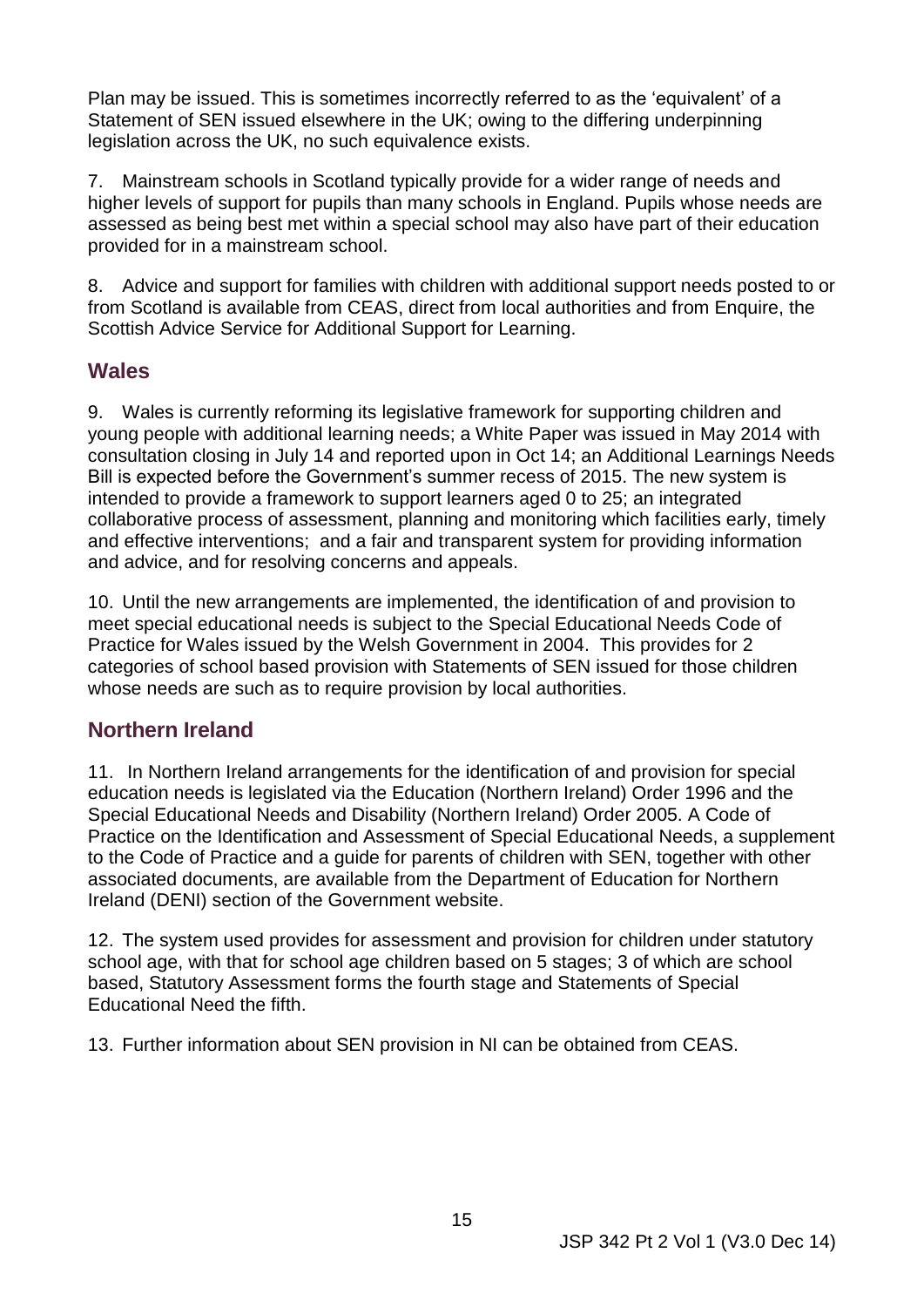Plan may be issued. This is sometimes incorrectly referred to as the 'equivalent' of a Statement of SEN issued elsewhere in the UK; owing to the differing underpinning legislation across the UK, no such equivalence exists.

 provided for in a mainstream school. 7. Mainstream schools in Scotland typically provide for a wider range of needs and higher levels of support for pupils than many schools in England. Pupils whose needs are assessed as being best met within a special school may also have part of their education

8. Advice and support for families with children with additional support needs posted to or from Scotland is available from CEAS, direct from local authorities and from Enquire, the Scottish Advice Service for Additional Support for Learning.

#### <span id="page-20-0"></span>**Wales**

 intended to provide a framework to support learners aged 0 to 25; an integrated and effective interventions; and a fair and transparent system for providing information 9. Wales is currently reforming its legislative framework for supporting children and young people with additional learning needs; a White Paper was issued in May 2014 with consultation closing in July 14 and reported upon in Oct 14; an Additional Learnings Needs Bill is expected before the Government's summer recess of 2015. The new system is collaborative process of assessment, planning and monitoring which facilities early, timely and advice, and for resolving concerns and appeals.

 10. Until the new arrangements are implemented, the identification of and provision to meet special educational needs is subject to the Special Educational Needs Code of Practice for Wales issued by the Welsh Government in 2004. This provides for 2 categories of school based provision with Statements of SEN issued for those children whose needs are such as to require provision by local authorities.

## <span id="page-20-1"></span> **Northern Ireland**

 11. In Northern Ireland arrangements for the identification of and provision for special education needs is legislated via the Education (Northern Ireland) Order 1996 and the Special Educational Needs and Disability (Northern Ireland) Order 2005. A Code of Practice on the Identification and Assessment of Special Educational Needs, a supplement to the Code of Practice and a guide for parents of children with SEN, together with other associated documents, are available from the Department of Education for Northern Ireland (DENI) section of the Government website.

 school age, with that for school age children based on 5 stages; 3 of which are school Educational Need the fifth. 12. The system used provides for assessment and provision for children under statutory based, Statutory Assessment forms the fourth stage and Statements of Special

13. Further information about SEN provision in NI can be obtained from CEAS.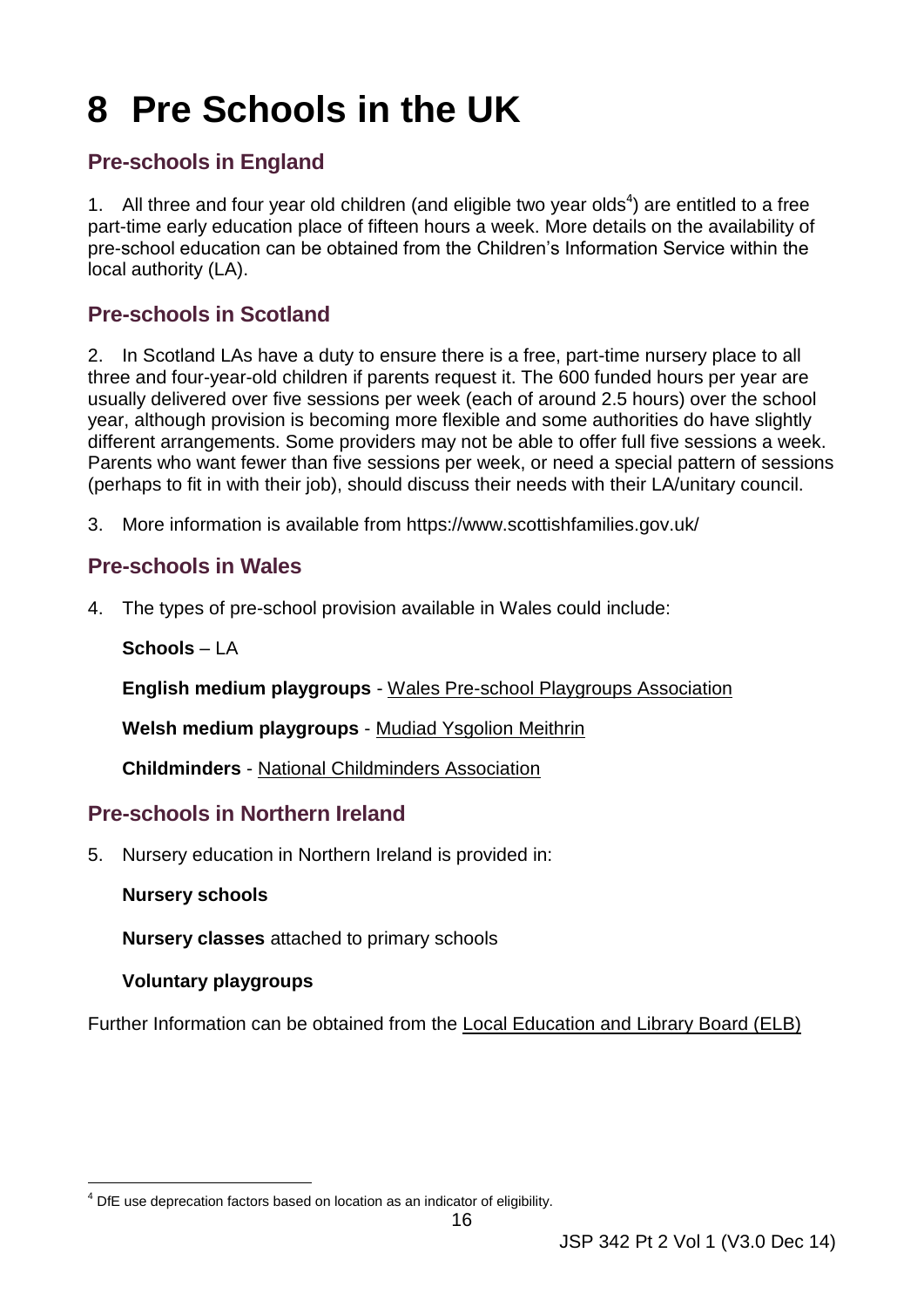# <span id="page-21-0"></span>**8 Pre Schools in the UK**

# <span id="page-21-1"></span> **Pre-schools in England**

1. All three and four year old children (and eligible two year olds<sup>4</sup>) are entitled to a free part-time early education place of fifteen hours a week. More details on the availability of pre-school education can be obtained from the Children's Information Service within the local authority (LA).

# <span id="page-21-2"></span> **Pre-schools in Scotland**

 2. In Scotland LAs have a duty to ensure there is a free, part-time nursery place to all three and four-year-old children if parents request it. The 600 funded hours per year are different arrangements. Some providers may not be able to offer full five sessions a week. Parents who want fewer than five sessions per week, or need a special pattern of sessions usually delivered over five sessions per week (each of around 2.5 hours) over the school year, although provision is becoming more flexible and some authorities do have slightly (perhaps to fit in with their job), should discuss their needs with their LA/unitary council.

3. More information is available from https://www.scottishfamilies.gov.uk/

## <span id="page-21-3"></span> **Pre-schools in Wales**

4. The types of pre-school provision available in Wales could include:

**Schools** – LA

**English medium playgroups** - Wales Pre-school Playgroups Association

**Welsh medium playgroups** - Mudiad Ysgolion Meithrin

**Childminders** - National Childminders Association

#### <span id="page-21-4"></span> **Pre-schools in Northern Ireland**

5. Nursery education in Northern Ireland is provided in:

#### **Nursery schools**

**Nursery classes** attached to primary schools

#### **Voluntary playgroups**

Further Information can be obtained from the Local Education and Library Board (ELB)

<sup>-</sup>4 DfE use deprecation factors based on location as an indicator of eligibility.